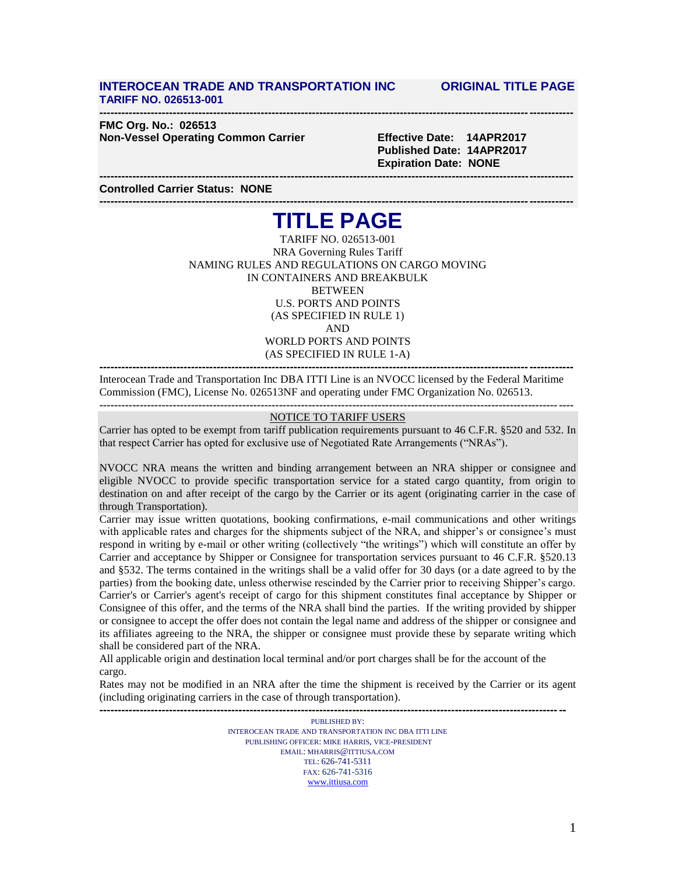## **INTEROCEAN TRADE AND TRANSPORTATION INC ORIGINAL TITLE PAGE TARIFF NO. 026513-001**

**--------------------------------------------------------------------------------------------------------------------------------- FMC Org. No.: 026513 Non-Vessel Operating Common Carrier Effective Date: 14APR2017**

 **Published Date: 14APR2017 Expiration Date: NONE**

**Controlled Carrier Status: NONE**

# **--------------------------------------------------------------------------------------------------------------------------------- TITLE PAGE**

**---------------------------------------------------------------------------------------------------------------------------------**

TARIFF NO. 026513-001 NRA Governing Rules Tariff NAMING RULES AND REGULATIONS ON CARGO MOVING IN CONTAINERS AND BREAKBULK **BETWEEN** U.S. PORTS AND POINTS (AS SPECIFIED IN RULE 1) AND WORLD PORTS AND POINTS (AS SPECIFIED IN RULE 1-A) **---------------------------------------------------------------------------------------------------------------------------------**

Interocean Trade and Transportation Inc DBA ITTI Line is an NVOCC licensed by the Federal Maritime Commission (FMC), License No. 026513NF and operating under FMC Organization No. 026513. **---------------------------------------------------------------------------------------------------------------------------------**

### NOTICE TO TARIFF USERS

Carrier has opted to be exempt from tariff publication requirements pursuant to 46 C.F.R. §520 and 532. In that respect Carrier has opted for exclusive use of Negotiated Rate Arrangements ("NRAs").

NVOCC NRA means the written and binding arrangement between an NRA shipper or consignee and eligible NVOCC to provide specific transportation service for a stated cargo quantity, from origin to destination on and after receipt of the cargo by the Carrier or its agent (originating carrier in the case of through Transportation).

Carrier may issue written quotations, booking confirmations, e-mail communications and other writings with applicable rates and charges for the shipments subject of the NRA, and shipper's or consignee's must respond in writing by e-mail or other writing (collectively "the writings") which will constitute an offer by Carrier and acceptance by Shipper or Consignee for transportation services pursuant to 46 C.F.R. §520.13 and §532. The terms contained in the writings shall be a valid offer for 30 days (or a date agreed to by the parties) from the booking date, unless otherwise rescinded by the Carrier prior to receiving Shipper's cargo. Carrier's or Carrier's agent's receipt of cargo for this shipment constitutes final acceptance by Shipper or Consignee of this offer, and the terms of the NRA shall bind the parties. If the writing provided by shipper or consignee to accept the offer does not contain the legal name and address of the shipper or consignee and its affiliates agreeing to the NRA, the shipper or consignee must provide these by separate writing which shall be considered part of the NRA.

All applicable origin and destination local terminal and/or port charges shall be for the account of the cargo.

Rates may not be modified in an NRA after the time the shipment is received by the Carrier or its agent (including originating carriers in the case of through transportation). **-------------------------------------------------------------------------------------------------------------------------------**

> PUBLISHED BY: INTEROCEAN TRADE AND TRANSPORTATION INC DBA ITTI LINE PUBLISHING OFFICER: MIKE HARRIS, VICE-PRESIDENT EMAIL: MHARRIS@ITTIUSA.COM TEL: 626-741-5311 FAX: 626-741-5316 [www.ittiusa.com](http://www.ittiusa.com/)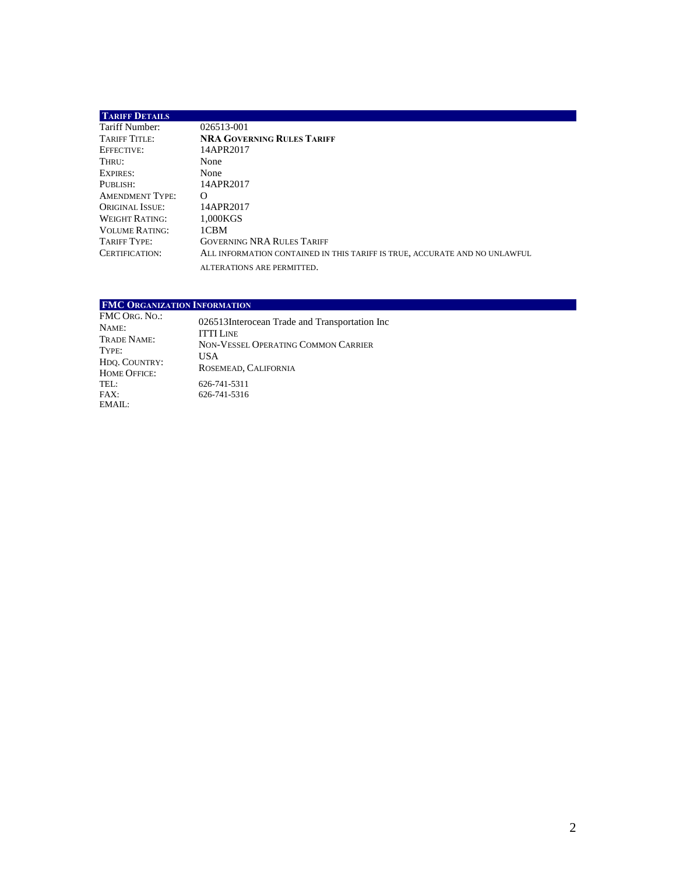| <b>TARIFF DETAILS</b>  |                                                                            |
|------------------------|----------------------------------------------------------------------------|
| Tariff Number:         | 026513-001                                                                 |
| TARIFF TITLE:          | <b>NRA GOVERNING RULES TARIFF</b>                                          |
| EFFECTIVE:             | 14APR2017                                                                  |
| THRU:                  | <b>None</b>                                                                |
| EXPIRES:               | None                                                                       |
| PUBLISH:               | 14APR2017                                                                  |
| <b>AMENDMENT TYPE:</b> | $\Omega$                                                                   |
| ORIGINAL ISSUE:        | 14APR2017                                                                  |
| <b>WEIGHT RATING:</b>  | 1.000KGS                                                                   |
| <b>VOLUME RATING:</b>  | 1CBM                                                                       |
| TARIFF TYPE:           | <b>GOVERNING NRA RULES TARIFF</b>                                          |
| CERTIFICATION:         | ALL INFORMATION CONTAINED IN THIS TARIFF IS TRUE, ACCURATE AND NO UNLAWFUL |
|                        | ALTERATIONS ARE PERMITTED.                                                 |

## **FMC ORGANIZATION INFORMATION**

| FMC Org. No.:<br>NAME:<br>Trade Name:<br>Type:<br>HDO. COUNTRY:<br>HOME OFFICE: | 026513Interocean Trade and Transportation Inc<br><b>ITTI LINE</b><br>NON-VESSEL OPERATING COMMON CARRIER<br><b>USA</b><br>ROSEMEAD, CALIFORNIA |
|---------------------------------------------------------------------------------|------------------------------------------------------------------------------------------------------------------------------------------------|
| $\text{TEL}$ :<br>FAX:<br>EMAIL:                                                | 626-741-5311<br>626-741-5316                                                                                                                   |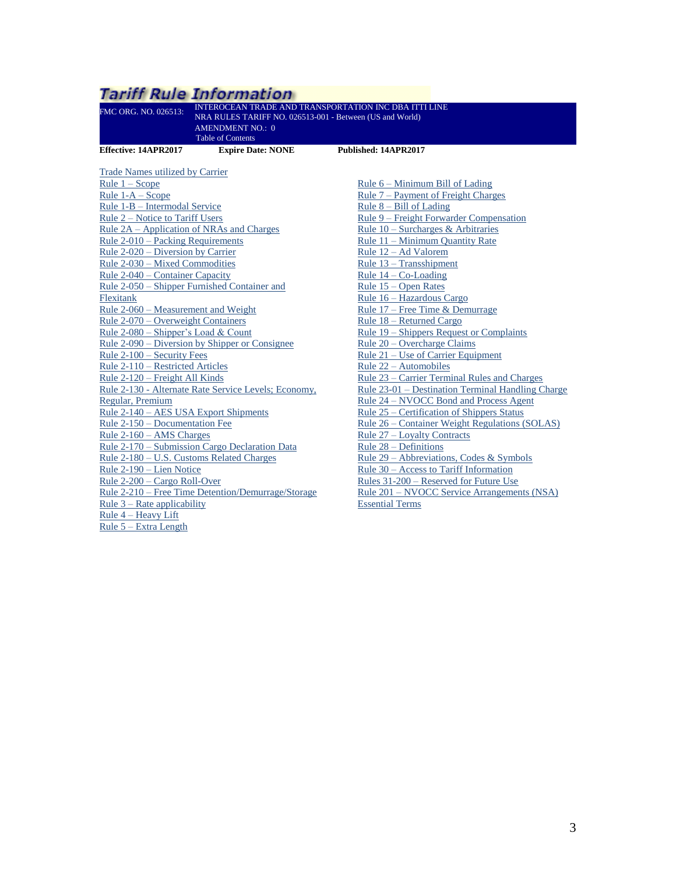#### <span id="page-2-0"></span>Tariff Rule Information INTEROCEAN TRADE AND TRANSPORTATION INC DBA ITTI LINE FMC ORG. NO. 026513: NRA RULES TARIFF NO. 026513-001 - Between (US and World) AMENDMENT NO.: 0 Table of Contents **Effective: 14APR2017 Expire Date: NONE Published: 14APR2017** Trade Names utilized by Carrier Rule 6 – [Minimum Bill of Lading](#page-16-2) [Rule 1 –](#page-3-0) Scope Rule 1-A – Scope Rule 7 – [Payment of Freight Charges](#page-16-3) Rule 1-B – [Intermodal Service](#page-5-0) Rule 8 – [Bill of Lading](#page-17-0) Rule 2 – [Notice to Tariff Users](#page-5-1) Rule 9 – [Freight Forwarder Compensation](#page-24-0) Rule 2A – [Application of NRAs](#page-5-2) and Charges Rule 10 – [Surcharges & Arbitraries](#page-25-0) Rule 2-010 – [Packing Requirements](#page-7-0) Rule 11 – [Minimum Quantity Rate](#page-25-1) [Rule 2-020 –](#page-8-0) Diversion by Carrier Rule 12 – [Ad Valorem](#page-25-2) Rule 2-030 – [Mixed Commodities](#page-8-1) Rule 13 – [Transshipment](#page-25-3) Rule 2-040 – [Container Capacity](#page-8-2) Rule 14 – [Co-Loading](#page-26-0) Rule 2-050 – [Shipper Furnished Container](#page-8-3) and Rule 15 – [Open Rates](#page-26-1) Rule 16 – [Hazardous Cargo](#page-26-2) **Flexitank** Rule 17 – [Free Time & Demurrage](#page-27-0) Rule 2-060 – [Measurement and Weight](#page-9-0) Rule 2-070 – [Overweight Containers](#page-10-0) Rule 18 – [Returned Cargo](#page-28-0) Rule 2-080 – [Shipper's Load & Count](#page-10-1) Rule 19 – [Shippers Request or Complaints](#page-28-1) Rule 20 – [Overcharge Claims](#page-28-2) Rule 2-090 – [Diversion by Shipper or Consignee](#page-10-2) Rule 2-100 – [Security Fees](#page-11-0) Rule 21 – Use of [Carrier Equipment](#page-28-3) Rule 2-110 – [Restricted Articles](#page-11-1) Rule 22 – [Automobiles](#page-29-0) Rule 2-120 – [Freight All Kinds](#page-12-0) Rule 23 – [Carrier Terminal Rules and Charges](#page-29-1) Rule 2-130 - [Alternate Rate Service Levels; Economy,](#page-12-1)  Rule 23-01 – [Destination Terminal Handling Charge](#page-29-2) Rule 24 – [NVOCC Bond and Process Agent](#page-29-3) [Regular, Premium](#page-12-1) Rule 2-140 – [AES USA Export Shipments](#page-12-2) Rule 25 – [Certification of Shippers Status](#page-30-0) Rule 2-150 – [Documentation Fee](#page-12-3) [Rule 26 –](#page-30-1) Container Weight Regulations (SOLAS) Rule 2-160 – [AMS Charges](#page-12-4) Rule 27 – [Loyalty Contracts](#page-31-0) Rule 2-170 – [Submission Cargo Declaration Data](#page-13-0) Rule 28 – [Definitions](#page-31-1) Rule 2-180 – [U.S. Customs Related Charges](#page-14-0) Rule 29 – Abbreviations, Codes & Symbols Rule 30 – [Access to Tariff Information](#page-33-0) [Rule 2-190 –](#page-15-0) Lien Notice Rules 31-200 – [Reserved for Future Use](#page-33-1) Rule 2-200 – [Cargo Roll-Over](#page-15-1) Rule 2-210 – [Free Time Detention/Demurrage/Storage](#page-15-2)  Rule 201 – [NVOCC Service Arrangements \(NSA\)](#page-33-2)  [Essential Terms](#page-33-2) Rule  $3$  – [Rate applicability](#page-15-3)

Rule 4 – [Heavy Lift](#page-16-0) Rule 5 – [Extra Length](#page-16-1)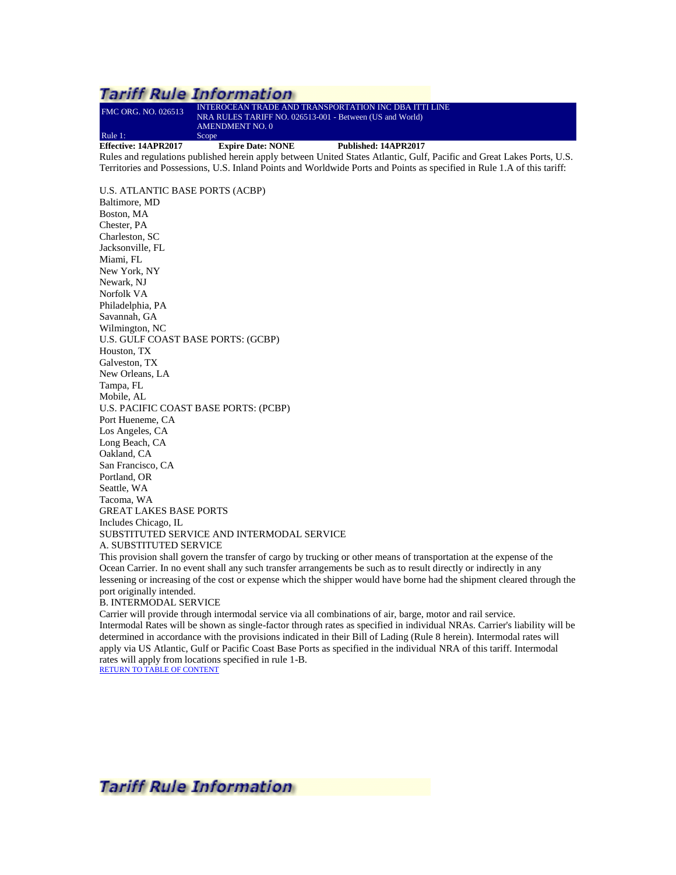## <span id="page-3-0"></span>**Tariff Rule Information** FMC ORG. NO. 026513 INTEROCEAN TRADE AND TRANSPORTATION INC DBA ITTI LINE NRA RULES TARIFF NO. 026513-001 - Between (US and World) AMENDMENT NO. 0 Rule 1: Scope<br> **Effective: 14APR2017 Effective: 14APR2017 Expire Date: NONE Published: 14APR2017** Rules and regulations published herein apply between United States Atlantic, Gulf, Pacific and Great Lakes Ports, U.S. Territories and Possessions, U.S. Inland Points and Worldwide Ports and Points as specified in Rule 1.A of this tariff: U.S. ATLANTIC BASE PORTS (ACBP) Baltimore, MD Boston, MA

Chester, PA Charleston, SC Jacksonville, FL Miami, FL New York, NY Newark, NJ Norfolk VA Philadelphia, PA Savannah, GA Wilmington, NC U.S. GULF COAST BASE PORTS: (GCBP) Houston, TX Galveston, TX New Orleans, LA Tampa, FL Mobile, AL U.S. PACIFIC COAST BASE PORTS: (PCBP) Port Hueneme, CA Los Angeles, CA Long Beach, CA Oakland, CA San Francisco, CA Portland, OR Seattle, WA Tacoma, WA GREAT LAKES BASE PORTS Includes Chicago, IL SUBSTITUTED SERVICE AND INTERMODAL SERVICE A. SUBSTITUTED SERVICE

This provision shall govern the transfer of cargo by trucking or other means of transportation at the expense of the Ocean Carrier. In no event shall any such transfer arrangements be such as to result directly or indirectly in any lessening or increasing of the cost or expense which the shipper would have borne had the shipment cleared through the port originally intended.

#### B. INTERMODAL SERVICE

Carrier will provide through intermodal service via all combinations of air, barge, motor and rail service. Intermodal Rates will be shown as single-factor through rates as specified in individual NRAs. Carrier's liability will be determined in accordance with the provisions indicated in their Bill of Lading (Rule 8 herein). Intermodal rates will apply via US Atlantic, Gulf or Pacific Coast Base Ports as specified in the individual NRA of this tariff. Intermodal rates will apply from locations specified in rule 1-B.

[RETURN TO TABLE OF CONTENT](#page-2-0)

**Tariff Rule Information**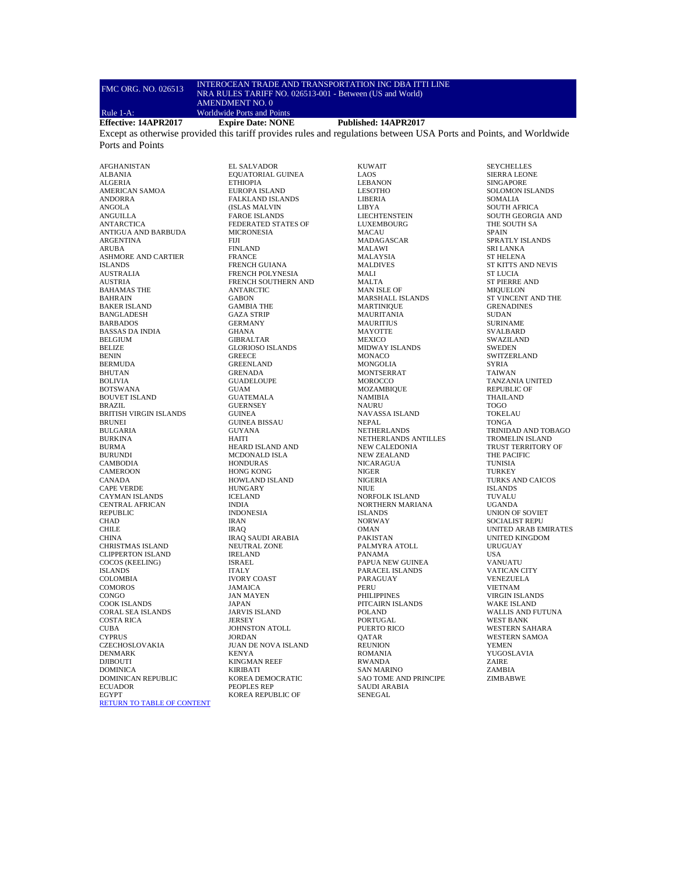#### FMC ORG. NO. 026513 INTEROCEAN TRADE AND TRANSPORTATION INC DBA ITTI LINE NRA RULES TARIFF NO. 026513-001 - Between (US and World) AMENDMENT NO. 0

Rule 1-A: Worldwide Ports and Points<br>Effective: 14APR2017 Expire Date: NONE

**Effective: 14APR2017 Expire Date: NONE Published: 14APR2017**

Except as otherwise provided this tariff provides rules and regulations between USA Ports and Points, and Worldwide Ports and Points

AFGHANISTAN ALBANIA ALGERIA AMERICAN SAMOA ANDORRA ANGOLA ANGUILLA **ANTARCTICA** ANTIGUA AND BARBUDA ARGENTINA ARUBA ASHMORE AND CARTIER ISLANDS AUSTRALIA AUSTRIA BAHAMAS THE BAHRAIN BAKER ISLAND BANGLADESH BARBADOS BASSAS DA INDIA BELGIUM BELIZE BENIN BERMUDA BHUTAN BOLIVIA BOTSWANA BOUVET ISLAND BRAZIL BRITISH VIRGIN ISLANDS BRUNEI BULGARIA **BURKINA** BURMA **BURUNDI** CAMBODIA **CAMEROON** CANADA CAPE VERDE CAYMAN ISLANDS CENTRAL AFRICAN REPUBLIC **CHAD** CHILE **CHINA** CHRISTMAS ISLAND CLIPPERTON ISLAND COCOS (KEELING) ISLANDS COLOMBIA COMOROS **CONGO** COOK ISLANDS CORAL SEA ISLANDS COSTA RICA CUBA **CYPRUS** CZECHOSLOVAKIA DENMARK DJIBOUTI DOMINICA DOMINICAN REPUBLIC ECUADOR EGYPT [RETURN TO TABLE](#page-2-0) OF CONTENT

EL SALVADOR EQUATORIAL GUINEA **ETHIOPIA** EUROPA ISLAND FALKLAND ISLANDS (ISLAS MALVIN FAROE ISLANDS FEDERATED STATES OF MICRONESIA FIJI FINLAND FRANCE FRENCH GUIANA FRENCH POLYNESIA FRENCH SOUTHERN AND ANTARCTIC GABON GAMBIA THE GAZA STRIP GERMANY GHANA GIBRALTAR GLORIOSO ISLANDS GREECE GREENLAND GRENADA GUADELOUPE GUAM GUATEMALA **GUERNSEY** GUINEA GUINEA BISSAU GUYANA HAITI HEARD ISLAND AND MCDONALD ISLA HONDURAS HONG KONG HOWLAND ISLAND **HUNGARY** ICELAND INDIA INDONESIA IRAN IRAQ IRAQ SAUDI ARABIA NEUTRAL ZONE IRELAND ISRAEL ITALY IVORY COAST JAMAICA JAN MAYEN JAPAN JARVIS ISLAND JERSEY JOHNSTON ATOLL JORDAN JUAN DE NOVA ISLAND KENYA KINGMAN REEF KIRIBATI KOREA DEMOCRATIC PEOPLES REP KOREA REPUBLIC OF

KUWAIT LAOS LEBANON LESOTHO LIBERIA LIBYA LIECHTENSTEIN LUXEMBOURG MACAU MADAGASCAR MALAWI MALAYSIA MALDIVES MALI MALTA MAN ISLE OF MARSHALL ISLANDS MARTINIQUE MAURITANIA MAURITIUS **MAYOTTE MEXICO** MIDWAY ISLANDS MONACO MONGOLIA MONTSERRAT MOROCCO MOZAMBIQUE NAMIBIA NAURU NAVASSA ISLAND NEPAL NETHERLANDS NETHERLANDS ANTILLES NEW CALEDONIA NEW ZEALAND NICARAGUA NIGER NIGERIA NIUE NORFOLK ISLAND NORTHERN MARIANA ISLANDS NORWAY OMAN PAKISTAN PALMYRA ATOLL PANAMA PAPUA NEW GUINEA PARACEL ISLANDS PARAGUAY **PERU** PHILIPPINES PITCAIRN ISLANDS POLAND PORTUGAL PUERTO RICO **OATAR** REUNION ROMANIA RWANDA SAN MARINO SAO TOME AND PRINCIPE SAUDI ARABIA SENEGAL

SIERRA LEONE SINGAPORE SOLOMON ISLANDS SOMALIA SOUTH AFRICA SOUTH GEORGIA AND THE SOUTH SA SPAIN SPRATLY ISLANDS SRI LANKA ST HELENA ST KITTS AND NEVIS ST LUCIA ST PIERRE AND MIQUELON ST VINCENT AND THE **GRENADINES** SUDAN SURINAME SVALBARD SWAZILAND SWEDEN SWITZERLAND SYRIA TAIWAN TANZANIA UNITED REPUBLIC OF THAILAND TOGO TOKELAU TONGA TRINIDAD AND TOBAGO TROMELIN ISLAND TRUST TERRITORY OF THE PACIFIC TUNISIA TURKEY TURKS AND CAICOS ISLANDS TUVALU UGANDA UNION OF SOVIET SOCIALIST REPU UNITED ARAB EMIRATES UNITED KINGDOM URUGUAY USA VANUATU VATICAN CITY VENEZUELA VIETNAM VIRGIN ISLANDS WAKE ISLAND WALLIS AND FUTUNA WEST BANK WESTERN SAHARA WESTERN SAMOA YEMEN YUGOSLAVIA ZAIRE ZAMBIA ZIMBABWE

SEYCHELLES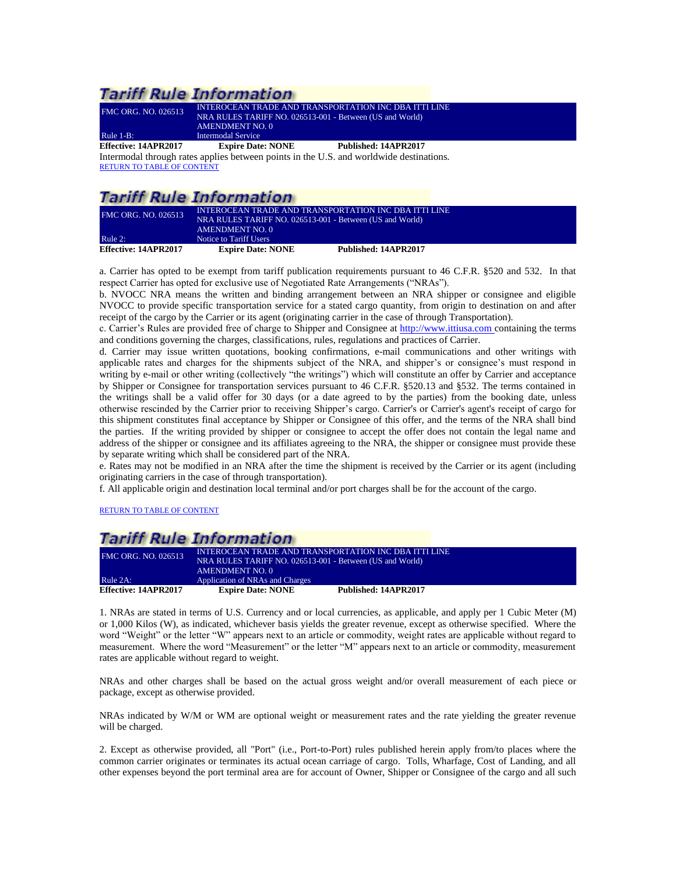| <b>FMC ORG. NO. 026513</b> | INTEROCEAN TRADE AND TRANSPORTATION INC DBA ITTI LINE<br>NRA RULES TARIFF NO. 026513-001 - Between (US and World)<br>AMENDMENT NO. 0 |                      |
|----------------------------|--------------------------------------------------------------------------------------------------------------------------------------|----------------------|
| Rule $1-B$ :               | Intermodal Service                                                                                                                   |                      |
| Effective: 14APR2017       | <b>Expire Date: NONE</b>                                                                                                             | Published: 14APR2017 |
|                            | Intermodel through rates englise between points in the U.S. and worldwide destinations.                                              |                      |

<span id="page-5-0"></span>Intermodal through rates applies between points in the U.S. and worldwide destinations. [RETURN TO TABLE OF CONTENT](#page-2-0)

# **Tariff Rule Information**

<span id="page-5-1"></span>

| <b>FMC ORG. NO. 026513</b> | INTEROCEAN TRADE AND TRANSPORTATION INC DBA ITTI LINE<br>NRA RULES TARIFF NO. 026513-001 - Between (US and World)<br><b>AMENDMENT NO. 0</b> |                      |
|----------------------------|---------------------------------------------------------------------------------------------------------------------------------------------|----------------------|
| Rule 2:                    | Notice to Tariff Users                                                                                                                      |                      |
| Effective: 14APR2017       | <b>Expire Date: NONE</b>                                                                                                                    | Published: 14APR2017 |

a. Carrier has opted to be exempt from tariff publication requirements pursuant to 46 C.F.R. §520 and 532. In that respect Carrier has opted for exclusive use of Negotiated Rate Arrangements ("NRAs").

b. NVOCC NRA means the written and binding arrangement between an NRA shipper or consignee and eligible NVOCC to provide specific transportation service for a stated cargo quantity, from origin to destination on and after receipt of the cargo by the Carrier or its agent (originating carrier in the case of through Transportation).

c. Carrier's Rules are provided free of charge to Shipper and Consignee at [http://www.ittiusa.com](http://rates.descartes.com/) containing the terms and conditions governing the charges, classifications, rules, regulations and practices of Carrier.

d. Carrier may issue written quotations, booking confirmations, e-mail communications and other writings with applicable rates and charges for the shipments subject of the NRA, and shipper's or consignee's must respond in writing by e-mail or other writing (collectively "the writings") which will constitute an offer by Carrier and acceptance by Shipper or Consignee for transportation services pursuant to 46 C.F.R. §520.13 and §532. The terms contained in the writings shall be a valid offer for 30 days (or a date agreed to by the parties) from the booking date, unless otherwise rescinded by the Carrier prior to receiving Shipper's cargo. Carrier's or Carrier's agent's receipt of cargo for this shipment constitutes final acceptance by Shipper or Consignee of this offer, and the terms of the NRA shall bind the parties. If the writing provided by shipper or consignee to accept the offer does not contain the legal name and address of the shipper or consignee and its affiliates agreeing to the NRA, the shipper or consignee must provide these by separate writing which shall be considered part of the NRA.

e. Rates may not be modified in an NRA after the time the shipment is received by the Carrier or its agent (including originating carriers in the case of through transportation).

f. All applicable origin and destination local terminal and/or port charges shall be for the account of the cargo.

[RETURN TO TABLE OF CONTENT](#page-2-0)

### Tariff Rule Information FMC ORG. NO. 026513 INTEROCEAN TRADE AND TRANSPORTATION INC DBA ITTI LINE NRA RULES TARIFF NO. 026513-001 - Between (US and World) AMENDMENT NO. 0 Rule 2A: Application of NRAs and Charges<br> **Effective: 14APR2017** Expire Date: NONE **Effective: 14APR2017 Expire Date: NONE Published: 14APR2017**

<span id="page-5-2"></span>1. NRAs are stated in terms of U.S. Currency and or local currencies, as applicable, and apply per 1 Cubic Meter (M) or 1,000 Kilos (W), as indicated, whichever basis yields the greater revenue, except as otherwise specified. Where the word "Weight" or the letter "W" appears next to an article or commodity, weight rates are applicable without regard to measurement. Where the word "Measurement" or the letter "M" appears next to an article or commodity, measurement rates are applicable without regard to weight.

NRAs and other charges shall be based on the actual gross weight and/or overall measurement of each piece or package, except as otherwise provided.

NRAs indicated by W/M or WM are optional weight or measurement rates and the rate yielding the greater revenue will be charged.

2. Except as otherwise provided, all "Port" (i.e., Port-to-Port) rules published herein apply from/to places where the common carrier originates or terminates its actual ocean carriage of cargo. Tolls, Wharfage, Cost of Landing, and all other expenses beyond the port terminal area are for account of Owner, Shipper or Consignee of the cargo and all such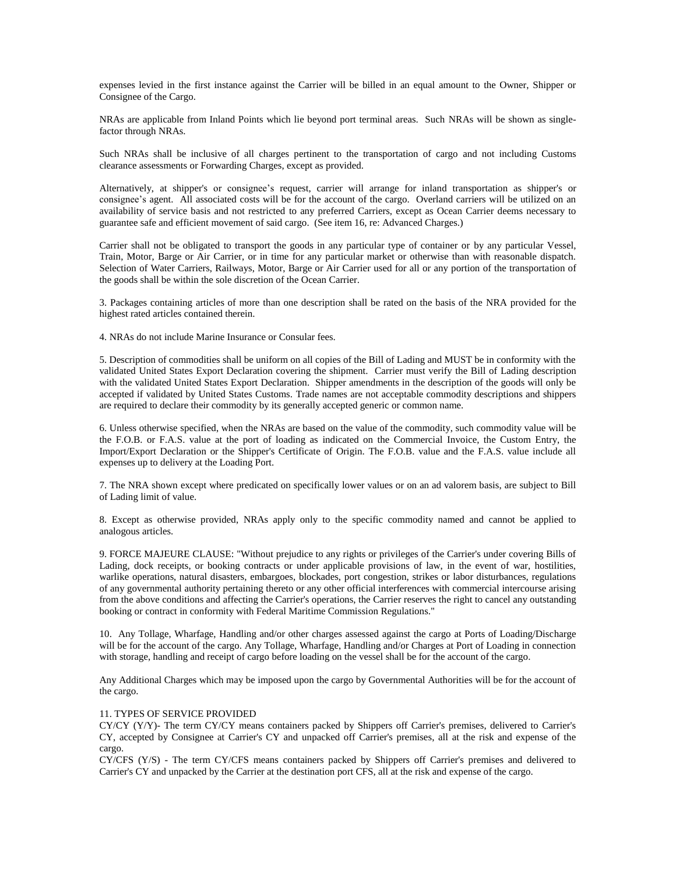expenses levied in the first instance against the Carrier will be billed in an equal amount to the Owner, Shipper or Consignee of the Cargo.

NRAs are applicable from Inland Points which lie beyond port terminal areas. Such NRAs will be shown as singlefactor through NRAs.

Such NRAs shall be inclusive of all charges pertinent to the transportation of cargo and not including Customs clearance assessments or Forwarding Charges, except as provided.

Alternatively, at shipper's or consignee's request, carrier will arrange for inland transportation as shipper's or consignee's agent. All associated costs will be for the account of the cargo. Overland carriers will be utilized on an availability of service basis and not restricted to any preferred Carriers, except as Ocean Carrier deems necessary to guarantee safe and efficient movement of said cargo. (See item 16, re: Advanced Charges.)

Carrier shall not be obligated to transport the goods in any particular type of container or by any particular Vessel, Train, Motor, Barge or Air Carrier, or in time for any particular market or otherwise than with reasonable dispatch. Selection of Water Carriers, Railways, Motor, Barge or Air Carrier used for all or any portion of the transportation of the goods shall be within the sole discretion of the Ocean Carrier.

3. Packages containing articles of more than one description shall be rated on the basis of the NRA provided for the highest rated articles contained therein.

4. NRAs do not include Marine Insurance or Consular fees.

5. Description of commodities shall be uniform on all copies of the Bill of Lading and MUST be in conformity with the validated United States Export Declaration covering the shipment. Carrier must verify the Bill of Lading description with the validated United States Export Declaration. Shipper amendments in the description of the goods will only be accepted if validated by United States Customs. Trade names are not acceptable commodity descriptions and shippers are required to declare their commodity by its generally accepted generic or common name.

6. Unless otherwise specified, when the NRAs are based on the value of the commodity, such commodity value will be the F.O.B. or F.A.S. value at the port of loading as indicated on the Commercial Invoice, the Custom Entry, the Import/Export Declaration or the Shipper's Certificate of Origin. The F.O.B. value and the F.A.S. value include all expenses up to delivery at the Loading Port.

7. The NRA shown except where predicated on specifically lower values or on an ad valorem basis, are subject to Bill of Lading limit of value.

8. Except as otherwise provided, NRAs apply only to the specific commodity named and cannot be applied to analogous articles.

9. FORCE MAJEURE CLAUSE: "Without prejudice to any rights or privileges of the Carrier's under covering Bills of Lading, dock receipts, or booking contracts or under applicable provisions of law, in the event of war, hostilities, warlike operations, natural disasters, embargoes, blockades, port congestion, strikes or labor disturbances, regulations of any governmental authority pertaining thereto or any other official interferences with commercial intercourse arising from the above conditions and affecting the Carrier's operations, the Carrier reserves the right to cancel any outstanding booking or contract in conformity with Federal Maritime Commission Regulations."

10. Any Tollage, Wharfage, Handling and/or other charges assessed against the cargo at Ports of Loading/Discharge will be for the account of the cargo. Any Tollage, Wharfage, Handling and/or Charges at Port of Loading in connection with storage, handling and receipt of cargo before loading on the vessel shall be for the account of the cargo.

Any Additional Charges which may be imposed upon the cargo by Governmental Authorities will be for the account of the cargo.

### 11. TYPES OF SERVICE PROVIDED

CY/CY (Y/Y)- The term CY/CY means containers packed by Shippers off Carrier's premises, delivered to Carrier's CY, accepted by Consignee at Carrier's CY and unpacked off Carrier's premises, all at the risk and expense of the cargo.

CY/CFS (Y/S) - The term CY/CFS means containers packed by Shippers off Carrier's premises and delivered to Carrier's CY and unpacked by the Carrier at the destination port CFS, all at the risk and expense of the cargo.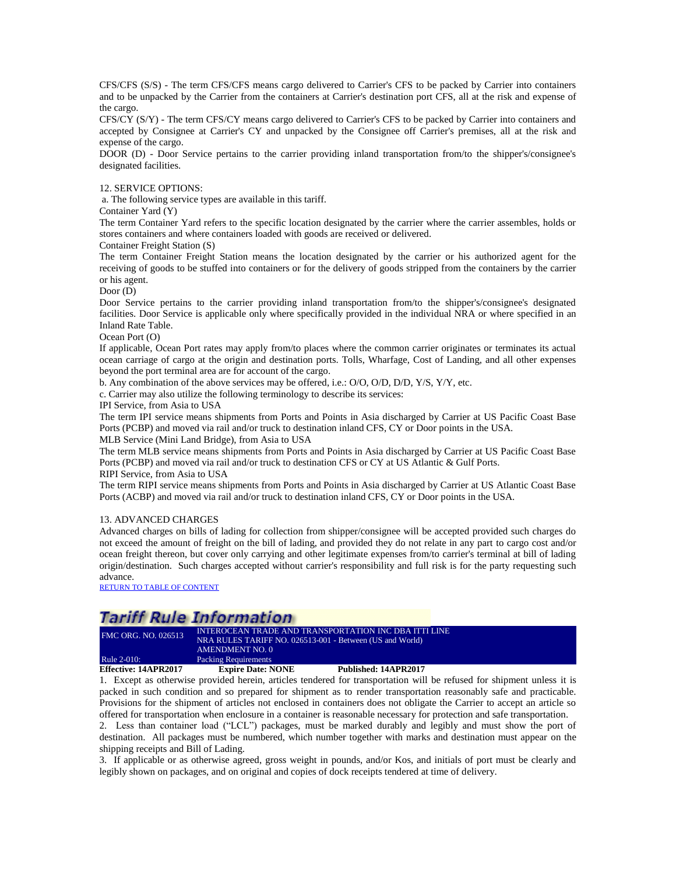CFS/CFS (S/S) - The term CFS/CFS means cargo delivered to Carrier's CFS to be packed by Carrier into containers and to be unpacked by the Carrier from the containers at Carrier's destination port CFS, all at the risk and expense of the cargo.

CFS/CY (S/Y) - The term CFS/CY means cargo delivered to Carrier's CFS to be packed by Carrier into containers and accepted by Consignee at Carrier's CY and unpacked by the Consignee off Carrier's premises, all at the risk and expense of the cargo.

DOOR (D) - Door Service pertains to the carrier providing inland transportation from/to the shipper's/consignee's designated facilities.

#### 12. SERVICE OPTIONS:

a. The following service types are available in this tariff.

Container Yard (Y)

The term Container Yard refers to the specific location designated by the carrier where the carrier assembles, holds or stores containers and where containers loaded with goods are received or delivered.

Container Freight Station (S)

The term Container Freight Station means the location designated by the carrier or his authorized agent for the receiving of goods to be stuffed into containers or for the delivery of goods stripped from the containers by the carrier or his agent.

Door (D)

Door Service pertains to the carrier providing inland transportation from/to the shipper's/consignee's designated facilities. Door Service is applicable only where specifically provided in the individual NRA or where specified in an Inland Rate Table.

Ocean Port (O)

If applicable, Ocean Port rates may apply from/to places where the common carrier originates or terminates its actual ocean carriage of cargo at the origin and destination ports. Tolls, Wharfage, Cost of Landing, and all other expenses beyond the port terminal area are for account of the cargo.

b. Any combination of the above services may be offered, i.e.: O/O, O/D, D/D, Y/S, Y/Y, etc.

c. Carrier may also utilize the following terminology to describe its services:

IPI Service, from Asia to USA

The term IPI service means shipments from Ports and Points in Asia discharged by Carrier at US Pacific Coast Base Ports (PCBP) and moved via rail and/or truck to destination inland CFS, CY or Door points in the USA.

MLB Service (Mini Land Bridge), from Asia to USA

The term MLB service means shipments from Ports and Points in Asia discharged by Carrier at US Pacific Coast Base Ports (PCBP) and moved via rail and/or truck to destination CFS or CY at US Atlantic & Gulf Ports.

RIPI Service, from Asia to USA

The term RIPI service means shipments from Ports and Points in Asia discharged by Carrier at US Atlantic Coast Base Ports (ACBP) and moved via rail and/or truck to destination inland CFS, CY or Door points in the USA.

#### 13. ADVANCED CHARGES

Advanced charges on bills of lading for collection from shipper/consignee will be accepted provided such charges do not exceed the amount of freight on the bill of lading, and provided they do not relate in any part to cargo cost and/or ocean freight thereon, but cover only carrying and other legitimate expenses from/to carrier's terminal at bill of lading origin/destination. Such charges accepted without carrier's responsibility and full risk is for the party requesting such advance.

[RETURN TO TABLE OF CONTENT](#page-2-0)

## **Tariff Rule Information**

| <b>FMC ORG. NO. 026513</b><br>NRA RULES TARIFF NO. 026513-001 - Between (US and World)<br>AMENDMENT NO. 0 | <b>Rule 2-010:</b><br>Effective: 14APR2017 | Packing Requirements<br><b>Expire Date: NONE</b> | Published: 14APR2017 |  |
|-----------------------------------------------------------------------------------------------------------|--------------------------------------------|--------------------------------------------------|----------------------|--|
|                                                                                                           |                                            |                                                  |                      |  |

<span id="page-7-0"></span>1. Except as otherwise provided herein, articles tendered for transportation will be refused for shipment unless it is packed in such condition and so prepared for shipment as to render transportation reasonably safe and practicable. Provisions for the shipment of articles not enclosed in containers does not obligate the Carrier to accept an article so offered for transportation when enclosure in a container is reasonable necessary for protection and safe transportation.

2. Less than container load ("LCL") packages, must be marked durably and legibly and must show the port of destination. All packages must be numbered, which number together with marks and destination must appear on the shipping receipts and Bill of Lading.

3. If applicable or as otherwise agreed, gross weight in pounds, and/or Kos, and initials of port must be clearly and legibly shown on packages, and on original and copies of dock receipts tendered at time of delivery.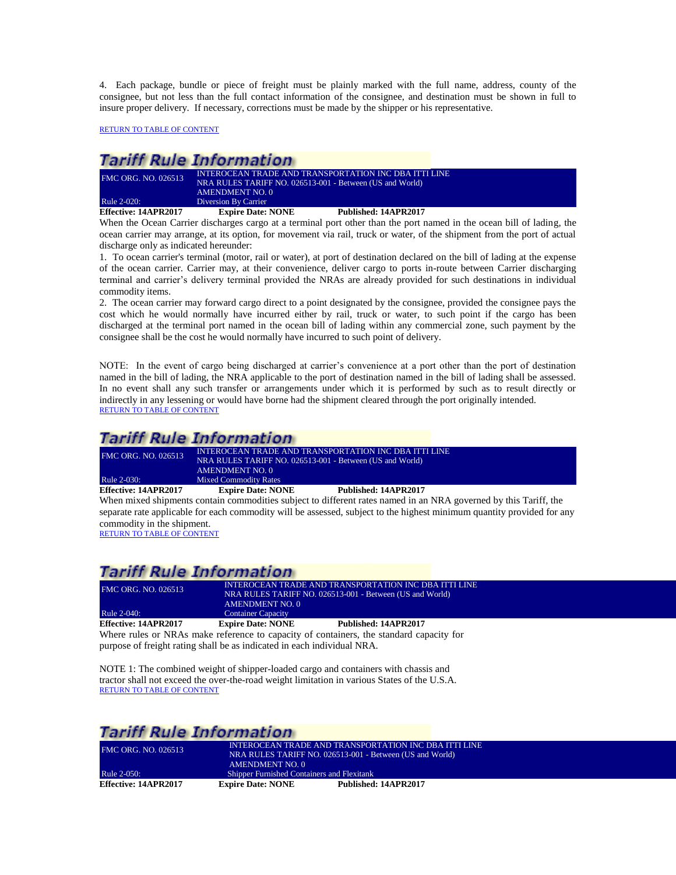4. Each package, bundle or piece of freight must be plainly marked with the full name, address, county of the consignee, but not less than the full contact information of the consignee, and destination must be shown in full to insure proper delivery. If necessary, corrections must be made by the shipper or his representative.

[RETURN TO TABLE OF CONTENT](#page-2-0)

## **Tariff Rule Information**

| Effective: 14APR2017       | <b>Expire Date: NONE</b>                                 | Published: 14APR2017 |
|----------------------------|----------------------------------------------------------|----------------------|
| Rule 2-020:                | Diversion By Carrier                                     |                      |
|                            | <b>AMENDMENT NO. 0</b>                                   |                      |
|                            | NRA RULES TARIFF NO. 026513-001 - Between (US and World) |                      |
| <b>FMC ORG. NO. 026513</b> | INTEROCEAN TRADE AND TRANSPORTATION INC DBA ITTI LINE    |                      |

<span id="page-8-0"></span>When the Ocean Carrier discharges cargo at a terminal port other than the port named in the ocean bill of lading, the ocean carrier may arrange, at its option, for movement via rail, truck or water, of the shipment from the port of actual discharge only as indicated hereunder:

1. To ocean carrier's terminal (motor, rail or water), at port of destination declared on the bill of lading at the expense of the ocean carrier. Carrier may, at their convenience, deliver cargo to ports in-route between Carrier discharging terminal and carrier's delivery terminal provided the NRAs are already provided for such destinations in individual commodity items.

2. The ocean carrier may forward cargo direct to a point designated by the consignee, provided the consignee pays the cost which he would normally have incurred either by rail, truck or water, to such point if the cargo has been discharged at the terminal port named in the ocean bill of lading within any commercial zone, such payment by the consignee shall be the cost he would normally have incurred to such point of delivery.

NOTE: In the event of cargo being discharged at carrier's convenience at a port other than the port of destination named in the bill of lading, the NRA applicable to the port of destination named in the bill of lading shall be assessed. In no event shall any such transfer or arrangements under which it is performed by such as to result directly or indirectly in any lessening or would have borne had the shipment cleared through the port originally intended. [RETURN TO TABLE OF CONTENT](#page-2-0)

## **Tariff Rule Information**

| Effective: 14APR2017       | <b>Expire Date: NONE</b>                                 | Published: 14APR2017 |
|----------------------------|----------------------------------------------------------|----------------------|
| Rule 2-030:                | <b>Mixed Commodity Rates</b>                             |                      |
|                            | AMENDMENT NO. 0                                          |                      |
|                            | NRA RULES TARIFF NO. 026513-001 - Between (US and World) |                      |
| <b>FMC ORG. NO. 026513</b> | INTEROCEAN TRADE AND TRANSPORTATION INC DBA ITTI LINE    |                      |

<span id="page-8-1"></span>When mixed shipments contain commodities subject to different rates named in an NRA governed by this Tariff, the separate rate applicable for each commodity will be assessed, subject to the highest minimum quantity provided for any commodity in the shipment.

[RETURN TO TABLE OF CONTENT](#page-2-0)

## **Tariff Rule Information**

<span id="page-8-2"></span>

| <b>FMC ORG. NO. 026513</b>                                              | <b>AMENDMENT NO. 0</b>    | INTEROCEAN TRADE AND TRANSPORTATION INC DBA ITTI LINE<br>NRA RULES TARIFF NO. 026513-001 - Between (US and World) |
|-------------------------------------------------------------------------|---------------------------|-------------------------------------------------------------------------------------------------------------------|
| Rule 2-040:                                                             | <b>Container Capacity</b> |                                                                                                                   |
| Effective: 14APR2017                                                    | <b>Expire Date: NONE</b>  | Published: 14APR2017                                                                                              |
|                                                                         |                           | Where rules or NRAs make reference to capacity of containers, the standard capacity for                           |
| purpose of freight rating shall be as indicated in each individual NRA. |                           |                                                                                                                   |

NOTE 1: The combined weight of shipper-loaded cargo and containers with chassis and

tractor shall not exceed the over-the-road weight limitation in various States of the U.S.A. [RETURN TO TABLE OF CONTENT](#page-2-0)

<span id="page-8-3"></span>

|                            | Tariff Rule Information                    |                                                          |  |  |
|----------------------------|--------------------------------------------|----------------------------------------------------------|--|--|
| <b>FMC ORG. NO. 026513</b> |                                            | INTEROCEAN TRADE AND TRANSPORTATION INC DBA ITTI LINE    |  |  |
|                            |                                            | NRA RULES TARIFF NO. 026513-001 - Between (US and World) |  |  |
|                            | AMENDMENT NO. 0                            |                                                          |  |  |
| Rule 2-050:                | Shipper Furnished Containers and Flexitank |                                                          |  |  |
| Effective: 14APR2017       | <b>Expire Date: NONE</b>                   | Published: 14APR2017                                     |  |  |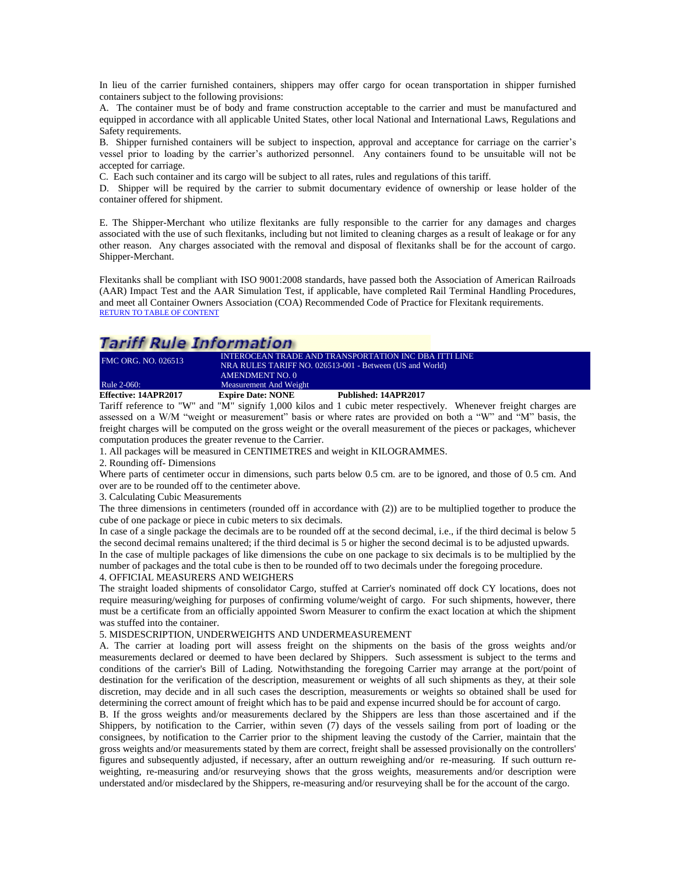In lieu of the carrier furnished containers, shippers may offer cargo for ocean transportation in shipper furnished containers subject to the following provisions:

A. The container must be of body and frame construction acceptable to the carrier and must be manufactured and equipped in accordance with all applicable United States, other local National and International Laws, Regulations and Safety requirements.

B. Shipper furnished containers will be subject to inspection, approval and acceptance for carriage on the carrier's vessel prior to loading by the carrier's authorized personnel. Any containers found to be unsuitable will not be accepted for carriage.

C. Each such container and its cargo will be subject to all rates, rules and regulations of this tariff.

D. Shipper will be required by the carrier to submit documentary evidence of ownership or lease holder of the container offered for shipment.

E. The Shipper-Merchant who utilize flexitanks are fully responsible to the carrier for any damages and charges associated with the use of such flexitanks, including but not limited to cleaning charges as a result of leakage or for any other reason. Any charges associated with the removal and disposal of flexitanks shall be for the account of cargo. Shipper-Merchant.

Flexitanks shall be compliant with ISO 9001:2008 standards, have passed both the Association of American Railroads (AAR) Impact Test and the AAR Simulation Test, if applicable, have completed Rail Terminal Handling Procedures, and meet all Container Owners Association (COA) Recommended Code of Practice for Flexitank requirements. [RETURN TO TABLE OF CONTENT](#page-2-0)

## **Tariff Rule Information**

| FMC ORG. NO. 026513         | NRA RULES TARIFF NO. 026513-001 - Between (US and World)<br>AMENDMENT NO. 0 | INTEROCEAN TRADE AND TRANSPORTATION INC DBA ITTI LINE |
|-----------------------------|-----------------------------------------------------------------------------|-------------------------------------------------------|
| Rule 2-060:                 | Measurement And Weight                                                      |                                                       |
| <b>Effective: 14APR2017</b> | <b>Expire Date: NONE</b>                                                    | Published: 14APR2017                                  |

<span id="page-9-0"></span>Tariff reference to "W" and "M" signify 1,000 kilos and 1 cubic meter respectively. Whenever freight charges are assessed on a W/M "weight or measurement" basis or where rates are provided on both a "W" and "M" basis, the freight charges will be computed on the gross weight or the overall measurement of the pieces or packages, whichever computation produces the greater revenue to the Carrier.

1. All packages will be measured in CENTIMETRES and weight in KILOGRAMMES.

2. Rounding off- Dimensions

Where parts of centimeter occur in dimensions, such parts below 0.5 cm. are to be ignored, and those of 0.5 cm. And over are to be rounded off to the centimeter above.

3. Calculating Cubic Measurements

The three dimensions in centimeters (rounded off in accordance with (2)) are to be multiplied together to produce the cube of one package or piece in cubic meters to six decimals.

In case of a single package the decimals are to be rounded off at the second decimal, i.e., if the third decimal is below 5 the second decimal remains unaltered; if the third decimal is 5 or higher the second decimal is to be adjusted upwards. In the case of multiple packages of like dimensions the cube on one package to six decimals is to be multiplied by the number of packages and the total cube is then to be rounded off to two decimals under the foregoing procedure.

#### 4. OFFICIAL MEASURERS AND WEIGHERS

The straight loaded shipments of consolidator Cargo, stuffed at Carrier's nominated off dock CY locations, does not require measuring/weighing for purposes of confirming volume/weight of cargo. For such shipments, however, there must be a certificate from an officially appointed Sworn Measurer to confirm the exact location at which the shipment was stuffed into the container.

#### 5. MISDESCRIPTION, UNDERWEIGHTS AND UNDERMEASUREMENT

A. The carrier at loading port will assess freight on the shipments on the basis of the gross weights and/or measurements declared or deemed to have been declared by Shippers. Such assessment is subject to the terms and conditions of the carrier's Bill of Lading. Notwithstanding the foregoing Carrier may arrange at the port/point of destination for the verification of the description, measurement or weights of all such shipments as they, at their sole discretion, may decide and in all such cases the description, measurements or weights so obtained shall be used for determining the correct amount of freight which has to be paid and expense incurred should be for account of cargo.

B. If the gross weights and/or measurements declared by the Shippers are less than those ascertained and if the Shippers, by notification to the Carrier, within seven (7) days of the vessels sailing from port of loading or the consignees, by notification to the Carrier prior to the shipment leaving the custody of the Carrier, maintain that the gross weights and/or measurements stated by them are correct, freight shall be assessed provisionally on the controllers' figures and subsequently adjusted, if necessary, after an outturn reweighing and/or re-measuring. If such outturn reweighting, re-measuring and/or resurveying shows that the gross weights, measurements and/or description were understated and/or misdeclared by the Shippers, re-measuring and/or resurveying shall be for the account of the cargo.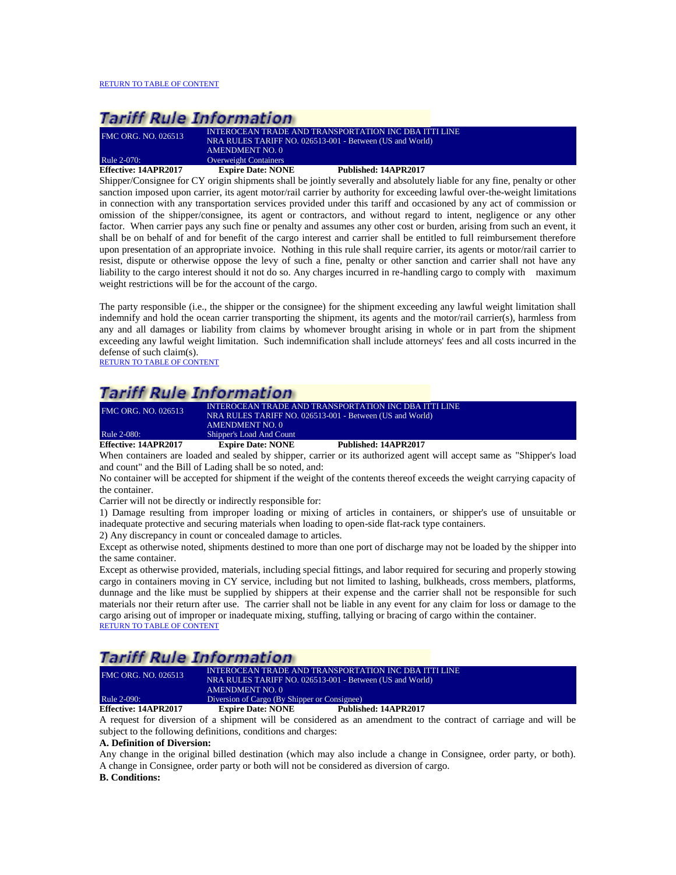| FMC ORG. NO. 026513  | <b>INTEROCEAN TRADE AND TRANSPORTATION INC DBA ITTI LINE</b><br>NRA RULES TARIFF NO. 026513-001 - Between (US and World).<br>AMENDMENT NO. 0 |                      |
|----------------------|----------------------------------------------------------------------------------------------------------------------------------------------|----------------------|
| <b>Rule 2-070:</b>   | <b>Overweight Containers</b>                                                                                                                 |                      |
| Effective: 14APR2017 | <b>Expire Date: NONE</b>                                                                                                                     | Published: 14APR2017 |

<span id="page-10-0"></span>Shipper/Consignee for CY origin shipments shall be jointly severally and absolutely liable for any fine, penalty or other sanction imposed upon carrier, its agent motor/rail carrier by authority for exceeding lawful over-the-weight limitations in connection with any transportation services provided under this tariff and occasioned by any act of commission or omission of the shipper/consignee, its agent or contractors, and without regard to intent, negligence or any other factor. When carrier pays any such fine or penalty and assumes any other cost or burden, arising from such an event, it shall be on behalf of and for benefit of the cargo interest and carrier shall be entitled to full reimbursement therefore upon presentation of an appropriate invoice. Nothing in this rule shall require carrier, its agents or motor/rail carrier to resist, dispute or otherwise oppose the levy of such a fine, penalty or other sanction and carrier shall not have any liability to the cargo interest should it not do so. Any charges incurred in re-handling cargo to comply with maximum weight restrictions will be for the account of the cargo.

The party responsible (i.e., the shipper or the consignee) for the shipment exceeding any lawful weight limitation shall indemnify and hold the ocean carrier transporting the shipment, its agents and the motor/rail carrier(s), harmless from any and all damages or liability from claims by whomever brought arising in whole or in part from the shipment exceeding any lawful weight limitation. Such indemnification shall include attorneys' fees and all costs incurred in the defense of such claim(s).

[RETURN TO TABLE OF CONTENT](#page-2-0)

# **Tariff Rule Information**

| Effective: 14APR2017       | <b>Expire Date: NONE</b> | Published: 14APR2017                                     |
|----------------------------|--------------------------|----------------------------------------------------------|
| Rule 2-080:                | Shipper's Load And Count |                                                          |
|                            | <b>AMENDMENT NO. 0</b>   |                                                          |
|                            |                          | NRA RULES TARIFF NO. 026513-001 - Between (US and World) |
| <b>FMC ORG. NO. 026513</b> |                          | INTEROCEAN TRADE AND TRANSPORTATION INC DBA ITTI LINE    |

<span id="page-10-1"></span>When containers are loaded and sealed by shipper, carrier or its authorized agent will accept same as "Shipper's load and count" and the Bill of Lading shall be so noted, and:

No container will be accepted for shipment if the weight of the contents thereof exceeds the weight carrying capacity of the container.

Carrier will not be directly or indirectly responsible for:

1) Damage resulting from improper loading or mixing of articles in containers, or shipper's use of unsuitable or inadequate protective and securing materials when loading to open-side flat-rack type containers.

2) Any discrepancy in count or concealed damage to articles.

Except as otherwise noted, shipments destined to more than one port of discharge may not be loaded by the shipper into the same container.

Except as otherwise provided, materials, including special fittings, and labor required for securing and properly stowing cargo in containers moving in CY service, including but not limited to lashing, bulkheads, cross members, platforms, dunnage and the like must be supplied by shippers at their expense and the carrier shall not be responsible for such materials nor their return after use. The carrier shall not be liable in any event for any claim for loss or damage to the cargo arising out of improper or inadequate mixing, stuffing, tallying or bracing of cargo within the container. [RETURN TO TABLE OF CONTENT](#page-2-0)

# **Tariff Rule Information**

| <b>Effective: 14APR2017</b> | <b>Expire Date: NONE</b>                     | Published: 14APR2017                                     |
|-----------------------------|----------------------------------------------|----------------------------------------------------------|
| Rule 2-090:                 | Diversion of Cargo (By Shipper or Consignee) |                                                          |
|                             | AMENDMENT NO. 0                              |                                                          |
|                             |                                              | NRA RULES TARIFF NO. 026513-001 - Between (US and World) |
| <b>FMC ORG. NO. 026513</b>  |                                              | INTEROCEAN TRADE AND TRANSPORTATION INC DBA ITTI LINE    |

<span id="page-10-2"></span>A request for diversion of a shipment will be considered as an amendment to the contract of carriage and will be subject to the following definitions, conditions and charges:

### **A. Definition of Diversion:**

Any change in the original billed destination (which may also include a change in Consignee, order party, or both). A change in Consignee, order party or both will not be considered as diversion of cargo.

**B. Conditions:**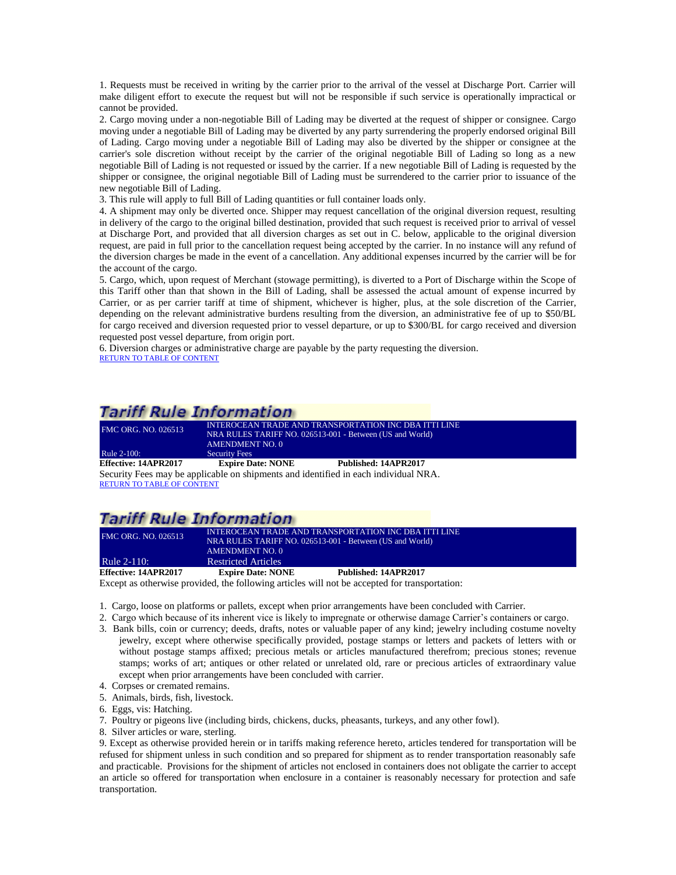1. Requests must be received in writing by the carrier prior to the arrival of the vessel at Discharge Port. Carrier will make diligent effort to execute the request but will not be responsible if such service is operationally impractical or cannot be provided.

2. Cargo moving under a non-negotiable Bill of Lading may be diverted at the request of shipper or consignee. Cargo moving under a negotiable Bill of Lading may be diverted by any party surrendering the properly endorsed original Bill of Lading. Cargo moving under a negotiable Bill of Lading may also be diverted by the shipper or consignee at the carrier's sole discretion without receipt by the carrier of the original negotiable Bill of Lading so long as a new negotiable Bill of Lading is not requested or issued by the carrier. If a new negotiable Bill of Lading is requested by the shipper or consignee, the original negotiable Bill of Lading must be surrendered to the carrier prior to issuance of the new negotiable Bill of Lading.

3. This rule will apply to full Bill of Lading quantities or full container loads only.

4. A shipment may only be diverted once. Shipper may request cancellation of the original diversion request, resulting in delivery of the cargo to the original billed destination, provided that such request is received prior to arrival of vessel at Discharge Port, and provided that all diversion charges as set out in C. below, applicable to the original diversion request, are paid in full prior to the cancellation request being accepted by the carrier. In no instance will any refund of the diversion charges be made in the event of a cancellation. Any additional expenses incurred by the carrier will be for the account of the cargo.

5. Cargo, which, upon request of Merchant (stowage permitting), is diverted to a Port of Discharge within the Scope of this Tariff other than that shown in the Bill of Lading, shall be assessed the actual amount of expense incurred by Carrier, or as per carrier tariff at time of shipment, whichever is higher, plus, at the sole discretion of the Carrier, depending on the relevant administrative burdens resulting from the diversion, an administrative fee of up to \$50/BL for cargo received and diversion requested prior to vessel departure, or up to \$300/BL for cargo received and diversion requested post vessel departure, from origin port.

6. Diversion charges or administrative charge are payable by the party requesting the diversion. [RETURN TO TABLE OF CONTENT](#page-2-0)

## **Tariff Rule Information**

| <b>FMC ORG. NO. 026513</b> | <b>AMENDMENT NO. 0</b>   | INTEROCEAN TRADE AND TRANSPORTATION INC DBA ITTI LINE<br>NRA RULES TARIFF NO. 026513-001 - Between (US and World) |
|----------------------------|--------------------------|-------------------------------------------------------------------------------------------------------------------|
| Rule 2-100:                | <b>Security Fees</b>     |                                                                                                                   |
| Effective: 14APR2017       | <b>Expire Date: NONE</b> | Published: 14APR2017                                                                                              |
|                            |                          | Security Fees may be applicable on shipments and identified in each individual NRA.                               |

<span id="page-11-0"></span>[RETURN TO TABLE OF CONTENT](#page-2-0)

# **Tariff Rule Information**

| Effective: 14APR2017 | <b>Expire Date: NONE</b>   | Published: 14APR2017                                                                                              |  |
|----------------------|----------------------------|-------------------------------------------------------------------------------------------------------------------|--|
| <b>Rule 2-110:</b>   | <b>Restricted Articles</b> |                                                                                                                   |  |
|                      | AMENDMENT NO. 0            |                                                                                                                   |  |
| FMC ORG. NO. 026513  |                            | INTEROCEAN TRADE AND TRANSPORTATION INC DBA ITTI LINE<br>NRA RULES TARIFF NO. 026513-001 - Between (US and World) |  |
|                      |                            |                                                                                                                   |  |

<span id="page-11-1"></span>Except as otherwise provided, the following articles will not be accepted for transportation:

- 1. Cargo, loose on platforms or pallets, except when prior arrangements have been concluded with Carrier.
- 2. Cargo which because of its inherent vice is likely to impregnate or otherwise damage Carrier's containers or cargo.
- 3. Bank bills, coin or currency; deeds, drafts, notes or valuable paper of any kind; jewelry including costume novelty jewelry, except where otherwise specifically provided, postage stamps or letters and packets of letters with or without postage stamps affixed; precious metals or articles manufactured therefrom; precious stones; revenue stamps; works of art; antiques or other related or unrelated old, rare or precious articles of extraordinary value except when prior arrangements have been concluded with carrier.
- 4. Corpses or cremated remains.
- 5. Animals, birds, fish, livestock.
- 6. Eggs, vis: Hatching.
- 7. Poultry or pigeons live (including birds, chickens, ducks, pheasants, turkeys, and any other fowl).
- 8. Silver articles or ware, sterling.

9. Except as otherwise provided herein or in tariffs making reference hereto, articles tendered for transportation will be refused for shipment unless in such condition and so prepared for shipment as to render transportation reasonably safe and practicable. Provisions for the shipment of articles not enclosed in containers does not obligate the carrier to accept an article so offered for transportation when enclosure in a container is reasonably necessary for protection and safe transportation.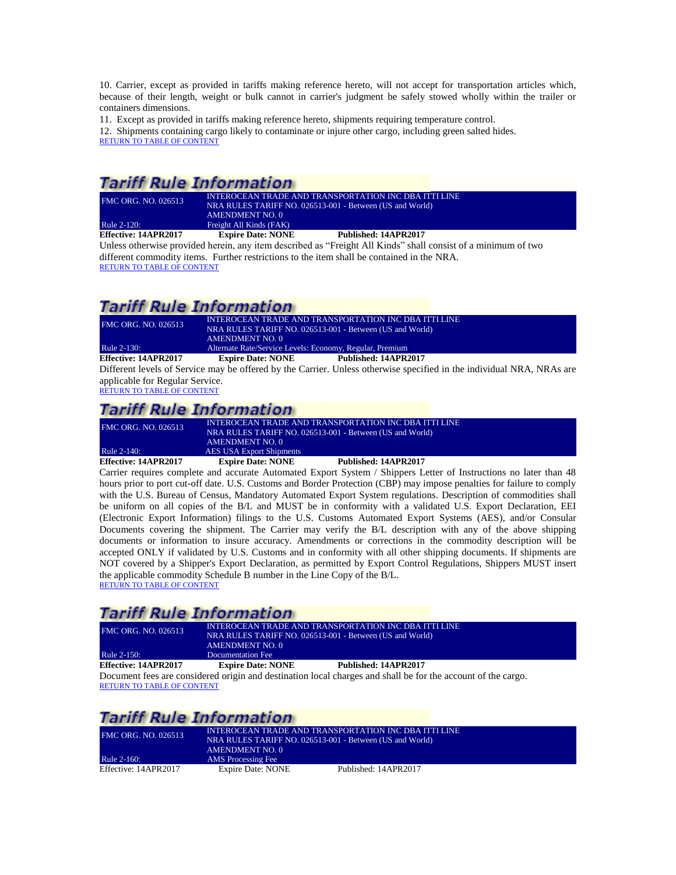10. Carrier, except as provided in tariffs making reference hereto, will not accept for transportation articles which, because of their length, weight or bulk cannot in carrier's judgment be safely stowed wholly within the trailer or containers dimensions.

11. Except as provided in tariffs making reference hereto, shipments requiring temperature control. 12. Shipments containing cargo likely to contaminate or injure other cargo, including green salted hides. [RETURN TO TABLE OF CONTENT](#page-2-0)

# **Tariff Rule Information**

| <b>FMC ORG. NO. 026513</b> |                          | INTEROCEAN TRADE AND TRANSPORTATION INC DBA ITTI LINE<br>NRA RULES TARIFF NO. 026513-001 - Between (US and World) |
|----------------------------|--------------------------|-------------------------------------------------------------------------------------------------------------------|
|                            | AMENDMENT NO. 0          |                                                                                                                   |
| Rule 2-120:                | Freight All Kinds (FAK)  |                                                                                                                   |
| Effective: 14APR2017       | <b>Expire Date: NONE</b> | Published: 14APR2017                                                                                              |

<span id="page-12-0"></span>Unless otherwise provided herein, any item described as "Freight All Kinds" shall consist of a minimum of two different commodity items. Further restrictions to the item shall be contained in the NRA. [RETURN TO TABLE OF CONTENT](#page-2-0)

## **Tariff Rule Information**

| FMC ORG. NO. 026513  | INTEROCEAN TRADE AND TRANSPORTATION INC DBA ITTI LINE<br>NRA RULES TARIFF NO. 026513-001 - Between (US and World) |                      |
|----------------------|-------------------------------------------------------------------------------------------------------------------|----------------------|
|                      | AMENDMENT NO. 0                                                                                                   |                      |
| Rule 2-130:          | Alternate Rate/Service Levels: Economy, Regular, Premium                                                          |                      |
| Effective: 14APR2017 | <b>Expire Date: NONE</b>                                                                                          | Published: 14APR2017 |

<span id="page-12-1"></span>Different levels of Service may be offered by the Carrier. Unless otherwise specified in the individual NRA, NRAs are applicable for Regular Service.

[RETURN TO TABLE OF CONTENT](#page-2-0)

# **Tariff Rule Information**

| Rule 2-140:          | AMENDMENT NO. 0<br><b>AES USA Export Shipments</b> |                      |  |
|----------------------|----------------------------------------------------|----------------------|--|
| Effective: 14APR2017 | <b>Expire Date: NONE</b>                           | Published: 14APR2017 |  |

<span id="page-12-2"></span>Carrier requires complete and accurate Automated Export System / Shippers Letter of Instructions no later than 48 hours prior to port cut-off date. U.S. Customs and Border Protection (CBP) may impose penalties for failure to comply with the U.S. Bureau of Census, Mandatory Automated Export System regulations. Description of commodities shall be uniform on all copies of the B/L and MUST be in conformity with a validated U.S. Export Declaration, EEI (Electronic Export Information) filings to the U.S. Customs Automated Export Systems (AES), and/or Consular Documents covering the shipment. The Carrier may verify the B/L description with any of the above shipping documents or information to insure accuracy. Amendments or corrections in the commodity description will be accepted ONLY if validated by U.S. Customs and in conformity with all other shipping documents. If shipments are NOT covered by a Shipper's Export Declaration, as permitted by Export Control Regulations, Shippers MUST insert the applicable commodity Schedule B number in the Line Copy of the B/L. [RETURN TO TABLE OF CONTENT](#page-2-0)

# **Tariff Rule Information**

| <b>FMC ORG. NO. 026513</b><br>Rule 2-150: | AMENDMENT NO. 0          | INTEROCEAN TRADE AND TRANSPORTATION INC DBA ITTI LINE<br>NRA RULES TARIFF NO. 026513-001 - Between (US and World)              |
|-------------------------------------------|--------------------------|--------------------------------------------------------------------------------------------------------------------------------|
|                                           | Documentation Fee        |                                                                                                                                |
| Effective: 14APR2017                      | <b>Expire Date: NONE</b> | Published: 14APR2017                                                                                                           |
| $\mathbf{r}$ $\mathbf{r}$                 |                          | $\mathbf{1}$ , and $\mathbf{1}$ , and $\mathbf{1}$ , and $\mathbf{1}$ , and $\mathbf{1}$ , and $\mathbf{1}$ , and $\mathbf{1}$ |

<span id="page-12-3"></span>Document fees are considered origin and destination local charges and shall be for the account of the cargo. [RETURN TO TABLE OF CONTENT](#page-2-0)

# **Tariff Rule Information**

<span id="page-12-4"></span>

| <b>FMC ORG. NO. 026513</b> | NRA RULES TARIFF NO. 026513-001 - Between (US and World)<br><b>AMENDMENT NO. 0</b> | INTEROCEAN TRADE AND TRANSPORTATION INC DBA ITTI LINE |
|----------------------------|------------------------------------------------------------------------------------|-------------------------------------------------------|
| Rule 2-160:                | AMS Processing Fee                                                                 |                                                       |
| Effective: 14APR2017       | Expire Date: NONE                                                                  | Published: 14APR2017                                  |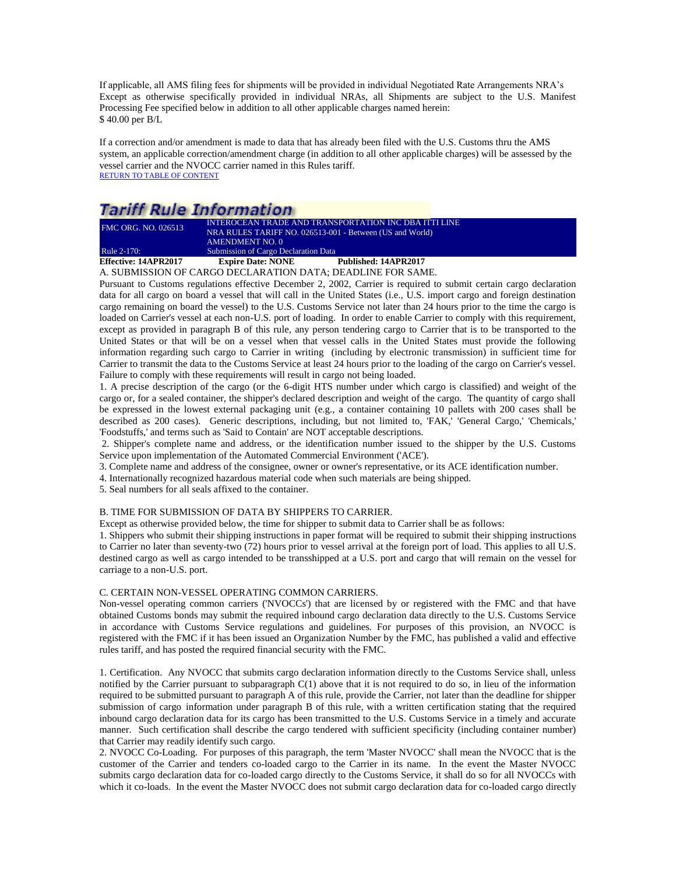If applicable, all AMS filing fees for shipments will be provided in individual Negotiated Rate Arrangements NRA's Except as otherwise specifically provided in individual NRAs, all Shipments are subject to the U.S. Manifest Processing Fee specified below in addition to all other applicable charges named herein: \$ 40.00 per B/L

If a correction and/or amendment is made to data that has already been filed with the U.S. Customs thru the AMS system, an applicable correction/amendment charge (in addition to all other applicable charges) will be assessed by the vessel carrier and the NVOCC carrier named in this Rules tariff. [RETURN TO TABLE OF CONTENT](#page-2-0)

# **Tariff Rule Information**

| Effective: 14APR2017       | <b>Expire Date: NONE</b>             | Published: 14APR2017                                         |  |
|----------------------------|--------------------------------------|--------------------------------------------------------------|--|
| Rule 2-170:                | Submission of Cargo Declaration Data |                                                              |  |
|                            | AMENDMENT NO. 0                      |                                                              |  |
|                            |                                      | NRA RULES TARIFF NO. 026513-001 - Between (US and World)     |  |
| <b>FMC ORG. NO. 026513</b> |                                      | <b>INTEROCEAN TRADE AND TRANSPORTATION INC DBA ITTI LINE</b> |  |

<span id="page-13-0"></span>A. SUBMISSION OF CARGO DECLARATION DATA; DEADLINE FOR SAME.

Pursuant to Customs regulations effective December 2, 2002, Carrier is required to submit certain cargo declaration data for all cargo on board a vessel that will call in the United States (i.e., U.S. import cargo and foreign destination cargo remaining on board the vessel) to the U.S. Customs Service not later than 24 hours prior to the time the cargo is loaded on Carrier's vessel at each non-U.S. port of loading. In order to enable Carrier to comply with this requirement, except as provided in paragraph B of this rule, any person tendering cargo to Carrier that is to be transported to the United States or that will be on a vessel when that vessel calls in the United States must provide the following information regarding such cargo to Carrier in writing (including by electronic transmission) in sufficient time for Carrier to transmit the data to the Customs Service at least 24 hours prior to the loading of the cargo on Carrier's vessel. Failure to comply with these requirements will result in cargo not being loaded.

1. A precise description of the cargo (or the 6-digit HTS number under which cargo is classified) and weight of the cargo or, for a sealed container, the shipper's declared description and weight of the cargo. The quantity of cargo shall be expressed in the lowest external packaging unit (e.g., a container containing 10 pallets with 200 cases shall be described as 200 cases). Generic descriptions, including, but not limited to, 'FAK,' 'General Cargo,' 'Chemicals,' 'Foodstuffs,' and terms such as 'Said to Contain' are NOT acceptable descriptions.

2. Shipper's complete name and address, or the identification number issued to the shipper by the U.S. Customs Service upon implementation of the Automated Commercial Environment ('ACE').

3. Complete name and address of the consignee, owner or owner's representative, or its ACE identification number.

4. Internationally recognized hazardous material code when such materials are being shipped.

5. Seal numbers for all seals affixed to the container.

### B. TIME FOR SUBMISSION OF DATA BY SHIPPERS TO CARRIER.

Except as otherwise provided below, the time for shipper to submit data to Carrier shall be as follows:

1. Shippers who submit their shipping instructions in paper format will be required to submit their shipping instructions to Carrier no later than seventy-two (72) hours prior to vessel arrival at the foreign port of load. This applies to all U.S. destined cargo as well as cargo intended to be transshipped at a U.S. port and cargo that will remain on the vessel for carriage to a non-U.S. port.

### C. CERTAIN NON-VESSEL OPERATING COMMON CARRIERS.

Non-vessel operating common carriers ('NVOCCs') that are licensed by or registered with the FMC and that have obtained Customs bonds may submit the required inbound cargo declaration data directly to the U.S. Customs Service in accordance with Customs Service regulations and guidelines. For purposes of this provision, an NVOCC is registered with the FMC if it has been issued an Organization Number by the FMC, has published a valid and effective rules tariff, and has posted the required financial security with the FMC.

1. Certification. Any NVOCC that submits cargo declaration information directly to the Customs Service shall, unless notified by the Carrier pursuant to subparagraph  $C(1)$  above that it is not required to do so, in lieu of the information required to be submitted pursuant to paragraph A of this rule, provide the Carrier, not later than the deadline for shipper submission of cargo information under paragraph B of this rule, with a written certification stating that the required inbound cargo declaration data for its cargo has been transmitted to the U.S. Customs Service in a timely and accurate manner. Such certification shall describe the cargo tendered with sufficient specificity (including container number) that Carrier may readily identify such cargo.

2. NVOCC Co-Loading. For purposes of this paragraph, the term 'Master NVOCC' shall mean the NVOCC that is the customer of the Carrier and tenders co-loaded cargo to the Carrier in its name. In the event the Master NVOCC submits cargo declaration data for co-loaded cargo directly to the Customs Service, it shall do so for all NVOCCs with which it co-loads. In the event the Master NVOCC does not submit cargo declaration data for co-loaded cargo directly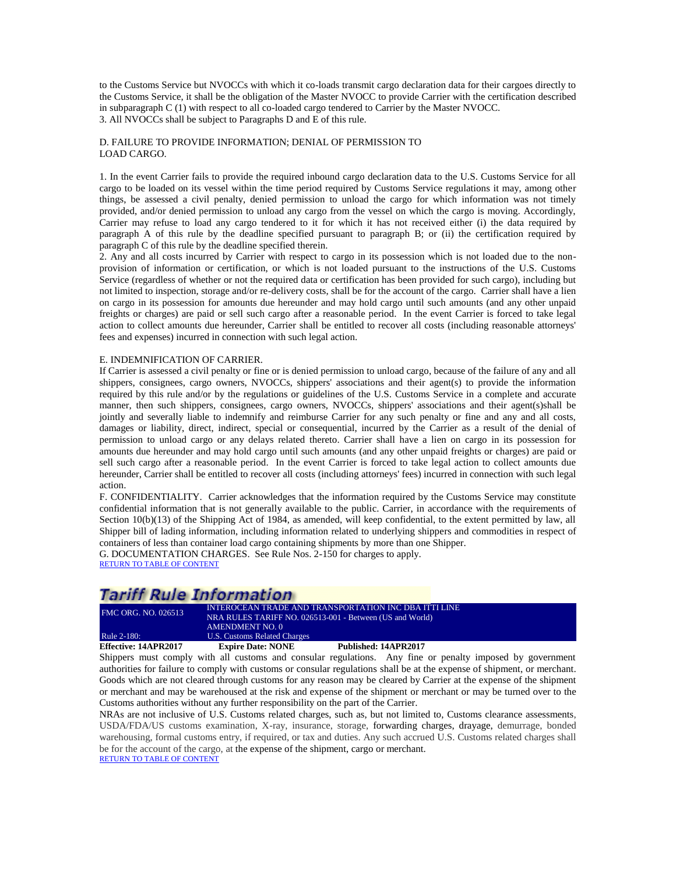to the Customs Service but NVOCCs with which it co-loads transmit cargo declaration data for their cargoes directly to the Customs Service, it shall be the obligation of the Master NVOCC to provide Carrier with the certification described in subparagraph C (1) with respect to all co-loaded cargo tendered to Carrier by the Master NVOCC. 3. All NVOCCs shall be subject to Paragraphs D and E of this rule.

### D. FAILURE TO PROVIDE INFORMATION; DENIAL OF PERMISSION TO LOAD CARGO.

1. In the event Carrier fails to provide the required inbound cargo declaration data to the U.S. Customs Service for all cargo to be loaded on its vessel within the time period required by Customs Service regulations it may, among other things, be assessed a civil penalty, denied permission to unload the cargo for which information was not timely provided, and/or denied permission to unload any cargo from the vessel on which the cargo is moving. Accordingly, Carrier may refuse to load any cargo tendered to it for which it has not received either (i) the data required by paragraph A of this rule by the deadline specified pursuant to paragraph B; or (ii) the certification required by paragraph C of this rule by the deadline specified therein.

2. Any and all costs incurred by Carrier with respect to cargo in its possession which is not loaded due to the nonprovision of information or certification, or which is not loaded pursuant to the instructions of the U.S. Customs Service (regardless of whether or not the required data or certification has been provided for such cargo), including but not limited to inspection, storage and/or re-delivery costs, shall be for the account of the cargo. Carrier shall have a lien on cargo in its possession for amounts due hereunder and may hold cargo until such amounts (and any other unpaid freights or charges) are paid or sell such cargo after a reasonable period. In the event Carrier is forced to take legal action to collect amounts due hereunder, Carrier shall be entitled to recover all costs (including reasonable attorneys' fees and expenses) incurred in connection with such legal action.

#### E. INDEMNIFICATION OF CARRIER.

If Carrier is assessed a civil penalty or fine or is denied permission to unload cargo, because of the failure of any and all shippers, consignees, cargo owners, NVOCCs, shippers' associations and their agent(s) to provide the information required by this rule and/or by the regulations or guidelines of the U.S. Customs Service in a complete and accurate manner, then such shippers, consignees, cargo owners, NVOCCs, shippers' associations and their agent(s)shall be jointly and severally liable to indemnify and reimburse Carrier for any such penalty or fine and any and all costs, damages or liability, direct, indirect, special or consequential, incurred by the Carrier as a result of the denial of permission to unload cargo or any delays related thereto. Carrier shall have a lien on cargo in its possession for amounts due hereunder and may hold cargo until such amounts (and any other unpaid freights or charges) are paid or sell such cargo after a reasonable period. In the event Carrier is forced to take legal action to collect amounts due hereunder, Carrier shall be entitled to recover all costs (including attorneys' fees) incurred in connection with such legal action.

F. CONFIDENTIALITY. Carrier acknowledges that the information required by the Customs Service may constitute confidential information that is not generally available to the public. Carrier, in accordance with the requirements of Section 10(b)(13) of the Shipping Act of 1984, as amended, will keep confidential, to the extent permitted by law, all Shipper bill of lading information, including information related to underlying shippers and commodities in respect of containers of less than container load cargo containing shipments by more than one Shipper.

G. DOCUMENTATION CHARGES. See Rule Nos. 2-150 for charges to apply. [RETURN TO TABLE OF CONTENT](#page-2-0)

# **Tariff Rule Information**

| Effective: 14APR2017       | <b>Expire Date: NONE</b>     | Published: 14APR2017                                     |  |
|----------------------------|------------------------------|----------------------------------------------------------|--|
| Rule 2-180:                | U.S. Customs Related Charges |                                                          |  |
|                            | AMENDMENT NO. 0              |                                                          |  |
|                            |                              | NRA RULES TARIFF NO. 026513-001 - Between (US and World) |  |
| <b>FMC ORG. NO. 026513</b> |                              | INTEROCEAN TRADE AND TRANSPORTATION INC DBA ITTI LINE    |  |

<span id="page-14-0"></span>Shippers must comply with all customs and consular regulations. Any fine or penalty imposed by government authorities for failure to comply with customs or consular regulations shall be at the expense of shipment, or merchant. Goods which are not cleared through customs for any reason may be cleared by Carrier at the expense of the shipment or merchant and may be warehoused at the risk and expense of the shipment or merchant or may be turned over to the Customs authorities without any further responsibility on the part of the Carrier.

NRAs are not inclusive of U.S. Customs related charges, such as, but not limited to, Customs clearance assessments, USDA/FDA/US customs examination, X-ray, insurance, storage, forwarding charges, drayage, demurrage, bonded warehousing, formal customs entry, if required, or tax and duties. Any such accrued U.S. Customs related charges shall be for the account of the cargo, at the expense of the shipment, cargo or merchant. [RETURN TO TABLE OF CONTENT](#page-2-0)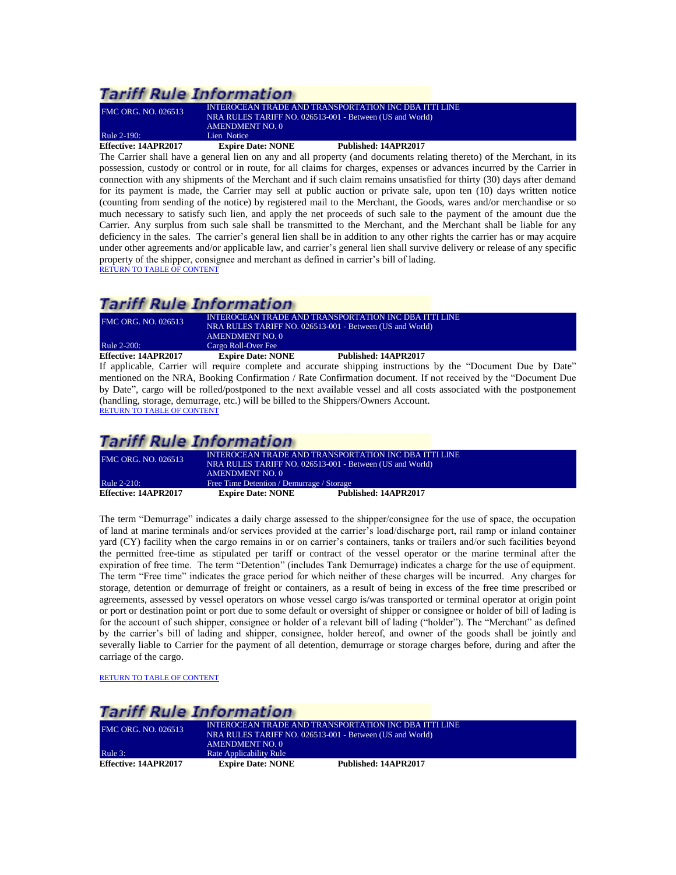| <b>Effective: 14APR2017</b> | <b>Expire Date: NONE</b>                                 | Published: 14APR2017 |
|-----------------------------|----------------------------------------------------------|----------------------|
| Rule 2-190:                 | Lien Notice                                              |                      |
|                             | AMENDMENT NO. 0                                          |                      |
|                             | NRA RULES TARIFF NO. 026513-001 - Between (US and World) |                      |
| <b>FMC ORG. NO. 026513</b>  | INTEROCEAN TRADE AND TRANSPORTATION INC DBA ITTI LINE    |                      |

<span id="page-15-0"></span>The Carrier shall have a general lien on any and all property (and documents relating thereto) of the Merchant, in its possession, custody or control or in route, for all claims for charges, expenses or advances incurred by the Carrier in connection with any shipments of the Merchant and if such claim remains unsatisfied for thirty (30) days after demand for its payment is made, the Carrier may sell at public auction or private sale, upon ten (10) days written notice (counting from sending of the notice) by registered mail to the Merchant, the Goods, wares and/or merchandise or so much necessary to satisfy such lien, and apply the net proceeds of such sale to the payment of the amount due the Carrier. Any surplus from such sale shall be transmitted to the Merchant, and the Merchant shall be liable for any deficiency in the sales. The carrier's general lien shall be in addition to any other rights the carrier has or may acquire under other agreements and/or applicable law, and carrier's general lien shall survive delivery or release of any specific property of the shipper, consignee and merchant as defined in carrier's bill of lading. [RETURN TO TABLE OF CONTENT](#page-2-0)

# **Tariff Rule Information**

| Effective: 14APR2017       | <b>Expire Date: NONE</b>                                 | Published: 14APR2017                                  |  |
|----------------------------|----------------------------------------------------------|-------------------------------------------------------|--|
| Rule 2-200:                | Cargo Roll-Over Fee                                      |                                                       |  |
|                            | <b>AMENDMENT NO. 0</b>                                   |                                                       |  |
|                            | NRA RULES TARIFF NO. 026513-001 - Between (US and World) |                                                       |  |
| <b>FMC ORG. NO. 026513</b> |                                                          | INTEROCEAN TRADE AND TRANSPORTATION INC DBA ITTI LINE |  |

<span id="page-15-1"></span>If applicable, Carrier will require complete and accurate shipping instructions by the "Document Due by Date" mentioned on the NRA, Booking Confirmation / Rate Confirmation document. If not received by the "Document Due by Date", cargo will be rolled/postponed to the next available vessel and all costs associated with the postponement (handling, storage, demurrage, etc.) will be billed to the Shippers/Owners Account.

[RETURN TO TABLE OF CONTENT](#page-2-0)

## **Tariff Rule Information**

<span id="page-15-2"></span>

| <b>FMC ORG. NO. 026513</b> | INTEROCEAN TRADE AND TRANSPORTATION INC DBA ITTI LINE<br>NRA RULES TARIFF NO. 026513-001 - Between (US and World) |                      |
|----------------------------|-------------------------------------------------------------------------------------------------------------------|----------------------|
| <b>Rule 2-210:</b>         | AMENDMENT NO. 0<br>Free Time Detention / Demurrage / Storage                                                      |                      |
| Effective: 14APR2017       | <b>Expire Date: NONE</b>                                                                                          | Published: 14APR2017 |

The term "Demurrage" indicates a daily charge assessed to the shipper/consignee for the use of space, the occupation of land at marine terminals and/or services provided at the carrier's load/discharge port, rail ramp or inland container yard (CY) facility when the cargo remains in or on carrier's containers, tanks or trailers and/or such facilities beyond the permitted free-time as stipulated per tariff or contract of the vessel operator or the marine terminal after the expiration of free time. The term "Detention" (includes Tank Demurrage) indicates a charge for the use of equipment. The term "Free time" indicates the grace period for which neither of these charges will be incurred. Any charges for storage, detention or demurrage of freight or containers, as a result of being in excess of the free time prescribed or agreements, assessed by vessel operators on whose vessel cargo is/was transported or terminal operator at origin point or port or destination point or port due to some default or oversight of shipper or consignee or holder of bill of lading is for the account of such shipper, consignee or holder of a relevant bill of lading ("holder"). The "Merchant" as defined by the carrier's bill of lading and shipper, consignee, holder hereof, and owner of the goods shall be jointly and severally liable to Carrier for the payment of all detention, demurrage or storage charges before, during and after the carriage of the cargo.

[RETURN TO TABLE OF CONTENT](#page-2-0)

## **Tariff Rule Information**

<span id="page-15-3"></span>

| <b>FMC ORG. NO. 026513</b>  | INTEROCEAN TRADE AND TRANSPORTATION INC DBA ITTI LINE<br>NRA RULES TARIFF NO. 026513-001 - Between (US and World)<br>AMENDMENT NO. 0 |                      |
|-----------------------------|--------------------------------------------------------------------------------------------------------------------------------------|----------------------|
| Rule 3:                     | Rate Applicability Rule                                                                                                              |                      |
| <b>Effective: 14APR2017</b> | <b>Expire Date: NONE</b>                                                                                                             | Published: 14APR2017 |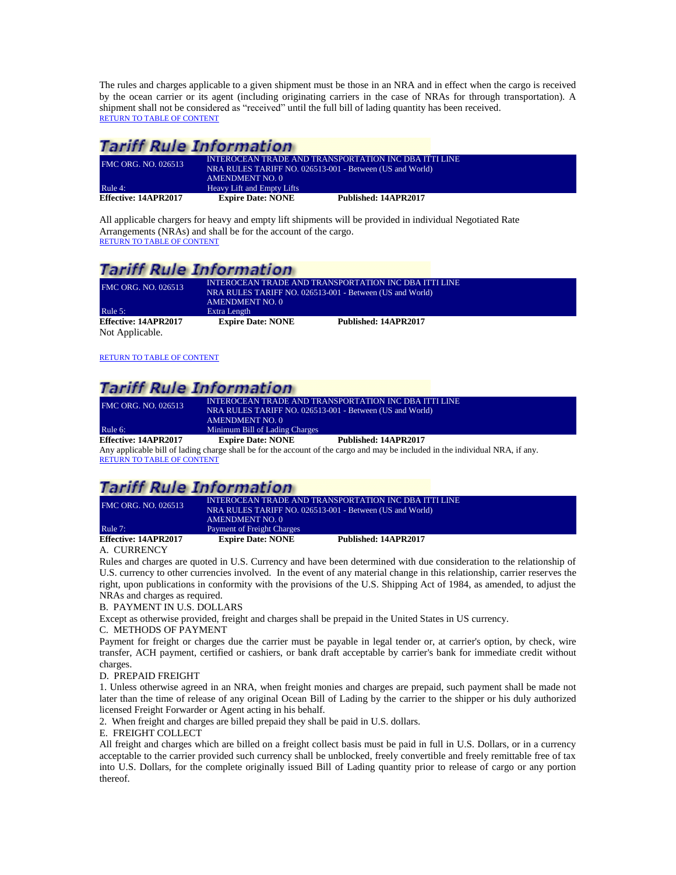The rules and charges applicable to a given shipment must be those in an NRA and in effect when the cargo is received by the ocean carrier or its agent (including originating carriers in the case of NRAs for through transportation). A shipment shall not be considered as "received" until the full bill of lading quantity has been received. [RETURN TO TABLE OF CONTENT](#page-2-0)

## **Tariff Rule Information**

<span id="page-16-0"></span>

| <b>FMC ORG. NO. 026513</b> | AMENDMENT NO. 0            | INTEROCEAN TRADE AND TRANSPORTATION INC DBA ITTI LINE<br>NRA RULES TARIFF NO. 026513-001 - Between (US and World) |
|----------------------------|----------------------------|-------------------------------------------------------------------------------------------------------------------|
| Rule 4:                    | Heavy Lift and Empty Lifts |                                                                                                                   |
| Effective: 14APR2017       | <b>Expire Date: NONE</b>   | Published: 14APR2017                                                                                              |

All applicable chargers for heavy and empty lift shipments will be provided in individual Negotiated Rate Arrangements (NRAs) and shall be for the account of the cargo. [RETURN TO TABLE OF CONTENT](#page-2-0)

## **Tariff Rule Information**

<span id="page-16-1"></span>

| <b>FMC ORG. NO. 026513</b> | INTEROCEAN TRADE AND TRANSPORTATION INC DBA ITTI LINE<br>NRA RULES TARIFF NO. 026513-001 - Between (US and World)<br>AMENDMENT NO. 0 |                      |
|----------------------------|--------------------------------------------------------------------------------------------------------------------------------------|----------------------|
| Rule $5$ :                 | Extra Length                                                                                                                         |                      |
| Effective: 14APR2017       | <b>Expire Date: NONE</b>                                                                                                             | Published: 14APR2017 |
| Not Applicable.            |                                                                                                                                      |                      |

[RETURN TO TABLE OF CONTENT](#page-2-0)

## **Tariff Rule Information**

| FMC ORG. NO. 026513  |                                                          | INTEROCEAN TRADE AND TRANSPORTATION INC DBA ITTI LINE |  |
|----------------------|----------------------------------------------------------|-------------------------------------------------------|--|
|                      | NRA RULES TARIFF NO. 026513-001 - Between (US and World) |                                                       |  |
|                      | <b>AMENDMENT NO. 0</b>                                   |                                                       |  |
| Rule 6:              | Minimum Bill of Lading Charges                           |                                                       |  |
| Effective: 14APR2017 | <b>Expire Date: NONE</b>                                 | Published: 14APR2017                                  |  |
|                      |                                                          |                                                       |  |

<span id="page-16-2"></span>Any applicable bill of lading charge shall be for the account of the cargo and may be included in the individual NRA, if any. [RETURN TO TABLE OF CONTENT](#page-2-0)

# **Tariff Rule Information**

| FMC ORG. NO. 026513  | INTEROCEAN TRADE AND TRANSPORTATION INC DBA ITTI LINE<br>NRA RULES TARIFF NO. 026513-001 - Between (US and World) |                      |
|----------------------|-------------------------------------------------------------------------------------------------------------------|----------------------|
| Rule $7:$            | AMENDMENT NO. 0<br>Payment of Freight Charges                                                                     |                      |
| Effective: 14APR2017 | <b>Expire Date: NONE</b>                                                                                          | Published: 14APR2017 |

## <span id="page-16-3"></span>A. CURRENCY

Rules and charges are quoted in U.S. Currency and have been determined with due consideration to the relationship of U.S. currency to other currencies involved. In the event of any material change in this relationship, carrier reserves the right, upon publications in conformity with the provisions of the U.S. Shipping Act of 1984, as amended, to adjust the NRAs and charges as required.

## B. PAYMENT IN U.S. DOLLARS

Except as otherwise provided, freight and charges shall be prepaid in the United States in US currency.

### C. METHODS OF PAYMENT

Payment for freight or charges due the carrier must be payable in legal tender or, at carrier's option, by check, wire transfer, ACH payment, certified or cashiers, or bank draft acceptable by carrier's bank for immediate credit without charges.

## D. PREPAID FREIGHT

1. Unless otherwise agreed in an NRA, when freight monies and charges are prepaid, such payment shall be made not later than the time of release of any original Ocean Bill of Lading by the carrier to the shipper or his duly authorized licensed Freight Forwarder or Agent acting in his behalf.

2. When freight and charges are billed prepaid they shall be paid in U.S. dollars.

### E. FREIGHT COLLECT

All freight and charges which are billed on a freight collect basis must be paid in full in U.S. Dollars, or in a currency acceptable to the carrier provided such currency shall be unblocked, freely convertible and freely remittable free of tax into U.S. Dollars, for the complete originally issued Bill of Lading quantity prior to release of cargo or any portion thereof.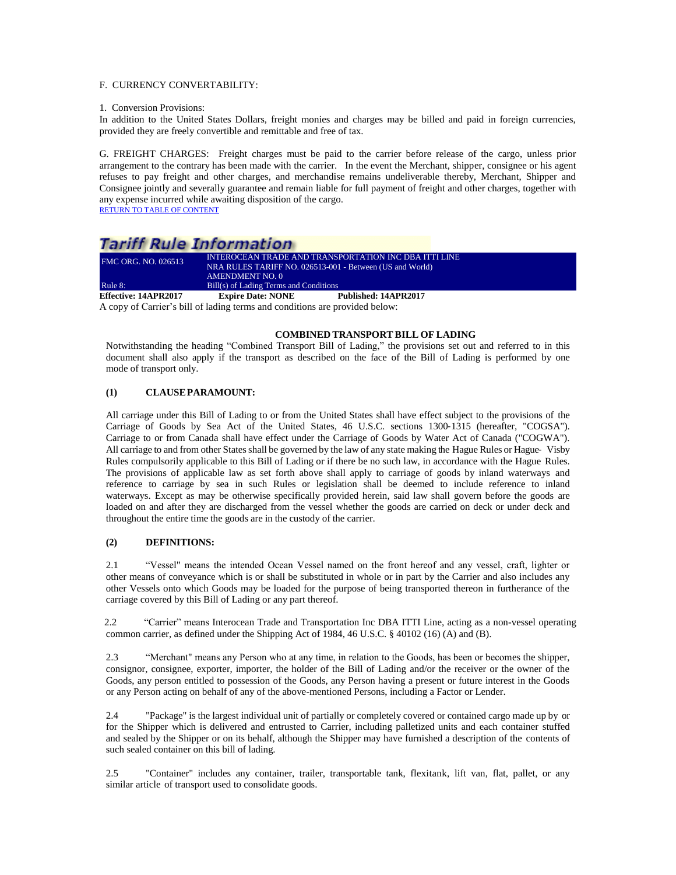### F. CURRENCY CONVERTABILITY:

#### 1. Conversion Provisions:

In addition to the United States Dollars, freight monies and charges may be billed and paid in foreign currencies, provided they are freely convertible and remittable and free of tax.

G. FREIGHT CHARGES: Freight charges must be paid to the carrier before release of the cargo, unless prior arrangement to the contrary has been made with the carrier. In the event the Merchant, shipper, consignee or his agent refuses to pay freight and other charges, and merchandise remains undeliverable thereby, Merchant, Shipper and Consignee jointly and severally guarantee and remain liable for full payment of freight and other charges, together with any expense incurred while awaiting disposition of the cargo. [RETURN TO TABLE OF CONTENT](#page-2-0)

## **Tariff Rule Information**

| <b>Effective: 14APR2017</b> | <b>Expire Date: NONE</b>                                 | Published: 14APR2017<br>.                             |  |
|-----------------------------|----------------------------------------------------------|-------------------------------------------------------|--|
| Rule $8:$                   | Bill(s) of Lading Terms and Conditions                   |                                                       |  |
|                             | <b>AMENDMENT NO. 0</b>                                   |                                                       |  |
|                             | NRA RULES TARIFF NO. 026513-001 - Between (US and World) |                                                       |  |
| FMC ORG. NO. 026513         |                                                          | INTEROCEAN TRADE AND TRANSPORTATION INC DBA ITTI LINE |  |
|                             |                                                          |                                                       |  |

<span id="page-17-0"></span>A copy of Carrier's bill of lading terms and conditions are provided below:

### **COMBINED TRANSPORT BILL OF LADING**

Notwithstanding the heading "Combined Transport Bill of Lading," the provisions set out and referred to in this document shall also apply if the transport as described on the face of the Bill of Lading is performed by one mode of transport only.

### **(1) CLAUSEPARAMOUNT:**

All carriage under this Bill of Lading to or from the United States shall have effect subject to the provisions of the Carriage of Goods by Sea Act of the United States, 46 U.S.C. sections 1300‐1315 (hereafter, "COGSA"). Carriage to or from Canada shall have effect under the Carriage of Goods by Water Act of Canada ("COGWA"). All carriage to and from other States shall be governed by the law of any state making the Hague Rules or Hague- Visby Rules compulsorily applicable to this Bill of Lading or if there be no such law, in accordance with the Hague Rules. The provisions of applicable law as set forth above shall apply to carriage of goods by inland waterways and reference to carriage by sea in such Rules or legislation shall be deemed to include reference to inland waterways. Except as may be otherwise specifically provided herein, said law shall govern before the goods are loaded on and after they are discharged from the vessel whether the goods are carried on deck or under deck and throughout the entire time the goods are in the custody of the carrier.

### **(2) DEFINITIONS:**

2.1 "Vessel" means the intended Ocean Vessel named on the front hereof and any vessel, craft, lighter or other means of conveyance which is or shall be substituted in whole or in part by the Carrier and also includes any other Vessels onto which Goods may be loaded for the purpose of being transported thereon in furtherance of the carriage covered by this Bill of Lading or any part thereof.

2.2 "Carrier" means Interocean Trade and Transportation Inc DBA ITTI Line, acting as a non-vessel operating common carrier, as defined under the Shipping Act of 1984, 46 U.S.C. § 40102 (16) (A) and (B).

2.3 "Merchant" means any Person who at any time, in relation to the Goods, has been or becomes the shipper, consignor, consignee, exporter, importer, the holder of the Bill of Lading and/or the receiver or the owner of the Goods, any person entitled to possession of the Goods, any Person having a present or future interest in the Goods or any Person acting on behalf of any of the above-mentioned Persons, including a Factor or Lender.

2.4 "Package" is the largest individual unit of partially or completely covered or contained cargo made up by or for the Shipper which is delivered and entrusted to Carrier, including palletized units and each container stuffed and sealed by the Shipper or on its behalf, although the Shipper may have furnished a description of the contents of such sealed container on this bill of lading.

2.5 "Container" includes any container, trailer, transportable tank, flexitank, lift van, flat, pallet, or any similar article of transport used to consolidate goods.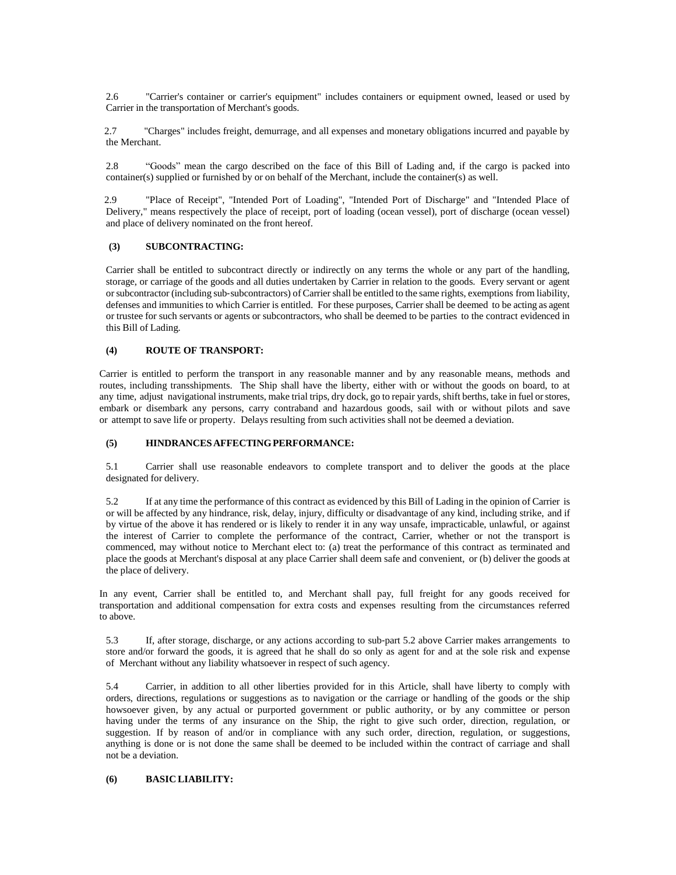2.6 "Carrier's container or carrier's equipment" includes containers or equipment owned, leased or used by Carrier in the transportation of Merchant's goods.

2.7 "Charges" includes freight, demurrage, and all expenses and monetary obligations incurred and payable by the Merchant.

2.8 "Goods" mean the cargo described on the face of this Bill of Lading and, if the cargo is packed into container(s) supplied or furnished by or on behalf of the Merchant, include the container(s) as well.

2.9 "Place of Receipt", "Intended Port of Loading", "Intended Port of Discharge" and "Intended Place of Delivery," means respectively the place of receipt, port of loading (ocean vessel), port of discharge (ocean vessel) and place of delivery nominated on the front hereof.

#### **(3) SUBCONTRACTING:**

Carrier shall be entitled to subcontract directly or indirectly on any terms the whole or any part of the handling, storage, or carriage of the goods and all duties undertaken by Carrier in relation to the goods. Every servant or agent or subcontractor (including sub-subcontractors) of Carrier shall be entitled to the same rights, exemptions from liability, defenses and immunities to which Carrier is entitled. For these purposes, Carrier shall be deemed to be acting as agent or trustee for such servants or agents or subcontractors, who shall be deemed to be parties to the contract evidenced in this Bill of Lading.

### **(4) ROUTE OF TRANSPORT:**

Carrier is entitled to perform the transport in any reasonable manner and by any reasonable means, methods and routes, including transshipments. The Ship shall have the liberty, either with or without the goods on board, to at any time, adjust navigational instruments, make trial trips, dry dock, go to repair yards, shift berths, take in fuel orstores, embark or disembark any persons, carry contraband and hazardous goods, sail with or without pilots and save or attempt to save life or property. Delays resulting from such activities shall not be deemed a deviation.

#### **(5) HINDRANCESAFFECTINGPERFORMANCE:**

5.1 Carrier shall use reasonable endeavors to complete transport and to deliver the goods at the place designated for delivery.

5.2 If at any time the performance of this contract as evidenced by this Bill of Lading in the opinion of Carrier is or will be affected by any hindrance, risk, delay, injury, difficulty or disadvantage of any kind, including strike, and if by virtue of the above it has rendered or is likely to render it in any way unsafe, impracticable, unlawful, or against the interest of Carrier to complete the performance of the contract, Carrier, whether or not the transport is commenced, may without notice to Merchant elect to: (a) treat the performance of this contract as terminated and place the goods at Merchant's disposal at any place Carrier shall deem safe and convenient, or (b) deliver the goods at the place of delivery.

In any event, Carrier shall be entitled to, and Merchant shall pay, full freight for any goods received for transportation and additional compensation for extra costs and expenses resulting from the circumstances referred to above.

5.3 If, after storage, discharge, or any actions according to sub‐part 5.2 above Carrier makes arrangements to store and/or forward the goods, it is agreed that he shall do so only as agent for and at the sole risk and expense of Merchant without any liability whatsoever in respect of such agency.

5.4 Carrier, in addition to all other liberties provided for in this Article, shall have liberty to comply with orders, directions, regulations or suggestions as to navigation or the carriage or handling of the goods or the ship howsoever given, by any actual or purported government or public authority, or by any committee or person having under the terms of any insurance on the Ship, the right to give such order, direction, regulation, or suggestion. If by reason of and/or in compliance with any such order, direction, regulation, or suggestions, anything is done or is not done the same shall be deemed to be included within the contract of carriage and shall not be a deviation.

### **(6) BASIC LIABILITY:**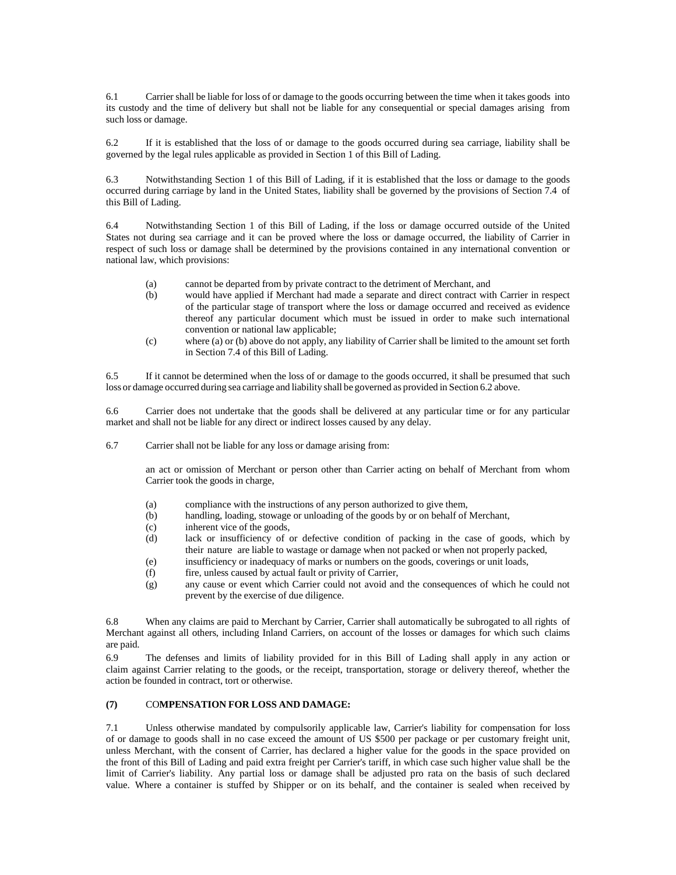6.1 Carrier shall be liable for loss of or damage to the goods occurring between the time when it takes goods into its custody and the time of delivery but shall not be liable for any consequential or special damages arising from such loss or damage.

6.2 If it is established that the loss of or damage to the goods occurred during sea carriage, liability shall be governed by the legal rules applicable as provided in Section 1 of this Bill of Lading.

6.3 Notwithstanding Section 1 of this Bill of Lading, if it is established that the loss or damage to the goods occurred during carriage by land in the United States, liability shall be governed by the provisions of Section 7.4 of this Bill of Lading.

6.4 Notwithstanding Section 1 of this Bill of Lading, if the loss or damage occurred outside of the United States not during sea carriage and it can be proved where the loss or damage occurred, the liability of Carrier in respect of such loss or damage shall be determined by the provisions contained in any international convention or national law, which provisions:

- (a) cannot be departed from by private contract to the detriment of Merchant, and
- (b) would have applied if Merchant had made a separate and direct contract with Carrier in respect of the particular stage of transport where the loss or damage occurred and received as evidence thereof any particular document which must be issued in order to make such international convention or national law applicable;
- (c) where (a) or (b) above do not apply, any liability of Carrier shall be limited to the amount set forth in Section 7.4 of this Bill of Lading.

6.5 If it cannot be determined when the loss of or damage to the goods occurred, it shall be presumed that such loss or damage occurred during sea carriage and liability shall be governed as provided in Section 6.2 above.

6.6 Carrier does not undertake that the goods shall be delivered at any particular time or for any particular market and shall not be liable for any direct or indirect losses caused by any delay.

6.7 Carrier shall not be liable for any loss or damage arising from:

an act or omission of Merchant or person other than Carrier acting on behalf of Merchant from whom Carrier took the goods in charge,

- (a) compliance with the instructions of any person authorized to give them,
- (b) handling, loading, stowage or unloading of the goods by or on behalf of Merchant,
- (c) inherent vice of the goods,
- (d) lack or insufficiency of or defective condition of packing in the case of goods, which by their nature are liable to wastage or damage when not packed or when not properly packed,
- (e) insufficiency or inadequacy of marks or numbers on the goods, coverings or unit loads,
- (f) fire, unless caused by actual fault or privity of Carrier,
- (g) any cause or event which Carrier could not avoid and the consequences of which he could not prevent by the exercise of due diligence.

6.8 When any claims are paid to Merchant by Carrier, Carrier shall automatically be subrogated to all rights of Merchant against all others, including Inland Carriers, on account of the losses or damages for which such claims are paid.

6.9 The defenses and limits of liability provided for in this Bill of Lading shall apply in any action or claim against Carrier relating to the goods, or the receipt, transportation, storage or delivery thereof, whether the action be founded in contract, tort or otherwise.

### **(7)** CO**MPENSATION FOR LOSS AND DAMAGE:**

7.1 Unless otherwise mandated by compulsorily applicable law, Carrier's liability for compensation for loss of or damage to goods shall in no case exceed the amount of US \$500 per package or per customary freight unit, unless Merchant, with the consent of Carrier, has declared a higher value for the goods in the space provided on the front of this Bill of Lading and paid extra freight per Carrier's tariff, in which case such higher value shall be the limit of Carrier's liability. Any partial loss or damage shall be adjusted pro rata on the basis of such declared value. Where a container is stuffed by Shipper or on its behalf, and the container is sealed when received by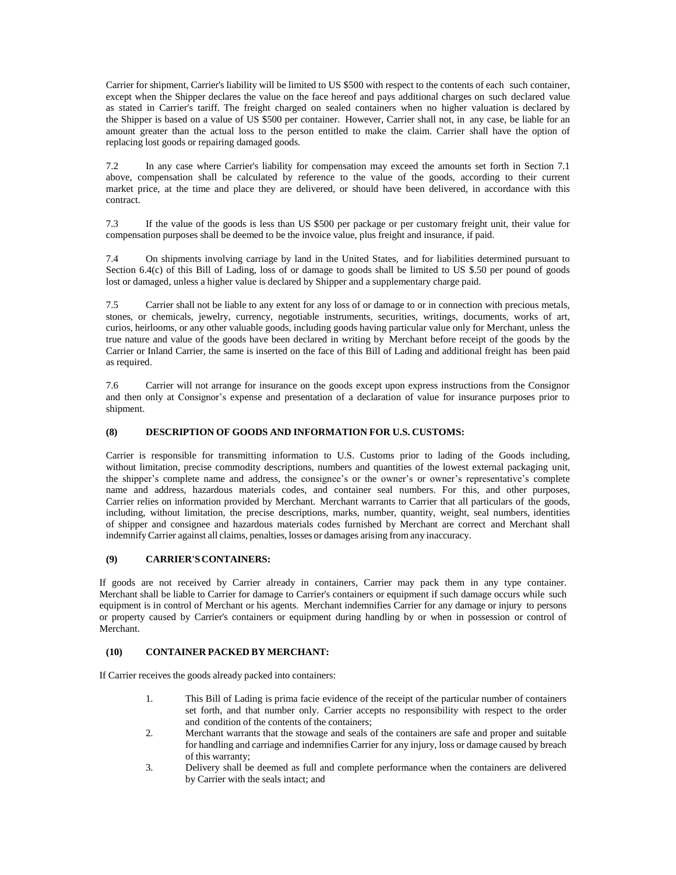Carrier for shipment, Carrier's liability will be limited to US \$500 with respect to the contents of each such container, except when the Shipper declares the value on the face hereof and pays additional charges on such declared value as stated in Carrier's tariff. The freight charged on sealed containers when no higher valuation is declared by the Shipper is based on a value of US \$500 per container. However, Carrier shall not, in any case, be liable for an amount greater than the actual loss to the person entitled to make the claim. Carrier shall have the option of replacing lost goods or repairing damaged goods.

7.2 In any case where Carrier's liability for compensation may exceed the amounts set forth in Section 7.1 above, compensation shall be calculated by reference to the value of the goods, according to their current market price, at the time and place they are delivered, or should have been delivered, in accordance with this contract.

7.3 If the value of the goods is less than US \$500 per package or per customary freight unit, their value for compensation purposes shall be deemed to be the invoice value, plus freight and insurance, if paid.

7.4 On shipments involving carriage by land in the United States, and for liabilities determined pursuant to Section 6.4(c) of this Bill of Lading, loss of or damage to goods shall be limited to US \$.50 per pound of goods lost or damaged, unless a higher value is declared by Shipper and a supplementary charge paid.

7.5 Carrier shall not be liable to any extent for any loss of or damage to or in connection with precious metals, stones, or chemicals, jewelry, currency, negotiable instruments, securities, writings, documents, works of art, curios, heirlooms, or any other valuable goods, including goods having particular value only for Merchant, unless the true nature and value of the goods have been declared in writing by Merchant before receipt of the goods by the Carrier or Inland Carrier, the same is inserted on the face of this Bill of Lading and additional freight has been paid as required.

7.6 Carrier will not arrange for insurance on the goods except upon express instructions from the Consignor and then only at Consignor's expense and presentation of a declaration of value for insurance purposes prior to shipment.

### **(8) DESCRIPTION OF GOODS AND INFORMATION FOR U.S. CUSTOMS:**

Carrier is responsible for transmitting information to U.S. Customs prior to lading of the Goods including, without limitation, precise commodity descriptions, numbers and quantities of the lowest external packaging unit, the shipper's complete name and address, the consignee's or the owner's or owner's representative's complete name and address, hazardous materials codes, and container seal numbers. For this, and other purposes, Carrier relies on information provided by Merchant. Merchant warrants to Carrier that all particulars of the goods, including, without limitation, the precise descriptions, marks, number, quantity, weight, seal numbers, identities of shipper and consignee and hazardous materials codes furnished by Merchant are correct and Merchant shall indemnify Carrier against all claims, penalties, losses or damages arising from any inaccuracy.

### **(9) CARRIER'SCONTAINERS:**

If goods are not received by Carrier already in containers, Carrier may pack them in any type container. Merchant shall be liable to Carrier for damage to Carrier's containers or equipment if such damage occurs while such equipment is in control of Merchant or his agents. Merchant indemnifies Carrier for any damage or injury to persons or property caused by Carrier's containers or equipment during handling by or when in possession or control of Merchant.

#### **(10) CONTAINER PACKED BY MERCHANT:**

If Carrier receives the goods already packed into containers:

- 1. This Bill of Lading is prima facie evidence of the receipt of the particular number of containers set forth, and that number only. Carrier accepts no responsibility with respect to the order and condition of the contents of the containers;
- 2. Merchant warrants that the stowage and seals of the containers are safe and proper and suitable for handling and carriage and indemnifies Carrier for any injury, loss or damage caused by breach of this warranty;
- 3. Delivery shall be deemed as full and complete performance when the containers are delivered by Carrier with the seals intact; and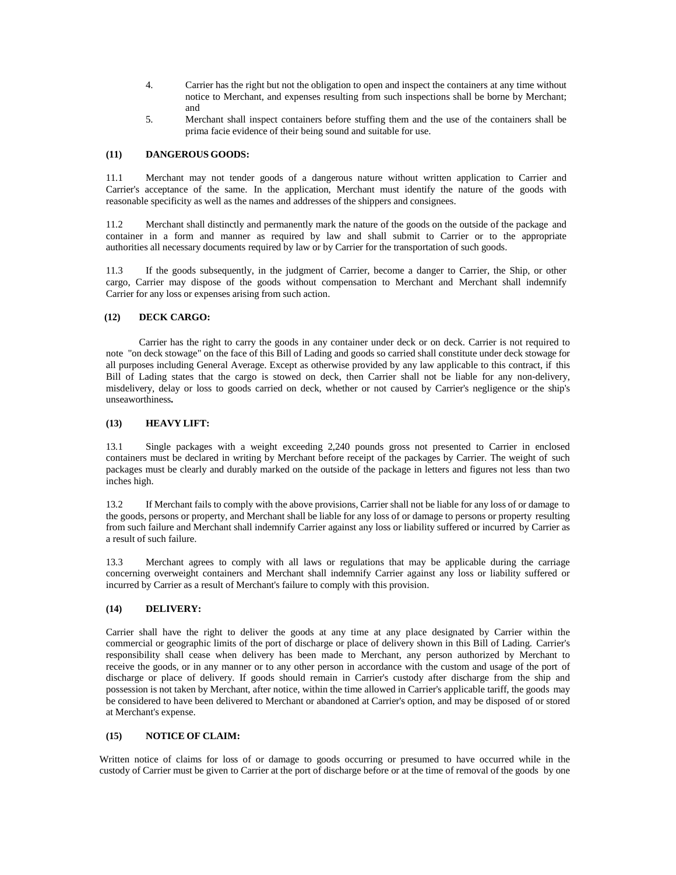- 4. Carrier has the right but not the obligation to open and inspect the containers at any time without notice to Merchant, and expenses resulting from such inspections shall be borne by Merchant; and
- 5. Merchant shall inspect containers before stuffing them and the use of the containers shall be prima facie evidence of their being sound and suitable for use.

### **(11) DANGEROUS GOODS:**

11.1 Merchant may not tender goods of a dangerous nature without written application to Carrier and Carrier's acceptance of the same. In the application, Merchant must identify the nature of the goods with reasonable specificity as well as the names and addresses of the shippers and consignees.

11.2 Merchant shall distinctly and permanently mark the nature of the goods on the outside of the package and container in a form and manner as required by law and shall submit to Carrier or to the appropriate authorities all necessary documents required by law or by Carrier for the transportation of such goods.

11.3 If the goods subsequently, in the judgment of Carrier, become a danger to Carrier, the Ship, or other cargo, Carrier may dispose of the goods without compensation to Merchant and Merchant shall indemnify Carrier for any loss or expenses arising from such action.

### **(12) DECK CARGO:**

Carrier has the right to carry the goods in any container under deck or on deck. Carrier is not required to note "on deck stowage" on the face of this Bill of Lading and goods so carried shall constitute under deck stowage for all purposes including General Average. Except as otherwise provided by any law applicable to this contract, if this Bill of Lading states that the cargo is stowed on deck, then Carrier shall not be liable for any non‐delivery, misdelivery, delay or loss to goods carried on deck, whether or not caused by Carrier's negligence or the ship's unseaworthiness**.**

### **(13) HEAVY LIFT:**

13.1 Single packages with a weight exceeding 2,240 pounds gross not presented to Carrier in enclosed containers must be declared in writing by Merchant before receipt of the packages by Carrier. The weight of such packages must be clearly and durably marked on the outside of the package in letters and figures not less than two inches high.

13.2 If Merchant fails to comply with the above provisions, Carrier shall not be liable for any loss of or damage to the goods, persons or property, and Merchant shall be liable for any loss of or damage to persons or property resulting from such failure and Merchant shall indemnify Carrier against any loss or liability suffered or incurred by Carrier as a result of such failure.

13.3 Merchant agrees to comply with all laws or regulations that may be applicable during the carriage concerning overweight containers and Merchant shall indemnify Carrier against any loss or liability suffered or incurred by Carrier as a result of Merchant's failure to comply with this provision.

### **(14) DELIVERY:**

Carrier shall have the right to deliver the goods at any time at any place designated by Carrier within the commercial or geographic limits of the port of discharge or place of delivery shown in this Bill of Lading. Carrier's responsibility shall cease when delivery has been made to Merchant, any person authorized by Merchant to receive the goods, or in any manner or to any other person in accordance with the custom and usage of the port of discharge or place of delivery. If goods should remain in Carrier's custody after discharge from the ship and possession is not taken by Merchant, after notice, within the time allowed in Carrier's applicable tariff, the goods may be considered to have been delivered to Merchant or abandoned at Carrier's option, and may be disposed of or stored at Merchant's expense.

#### **(15) NOTICE OF CLAIM:**

Written notice of claims for loss of or damage to goods occurring or presumed to have occurred while in the custody of Carrier must be given to Carrier at the port of discharge before or at the time of removal of the goods by one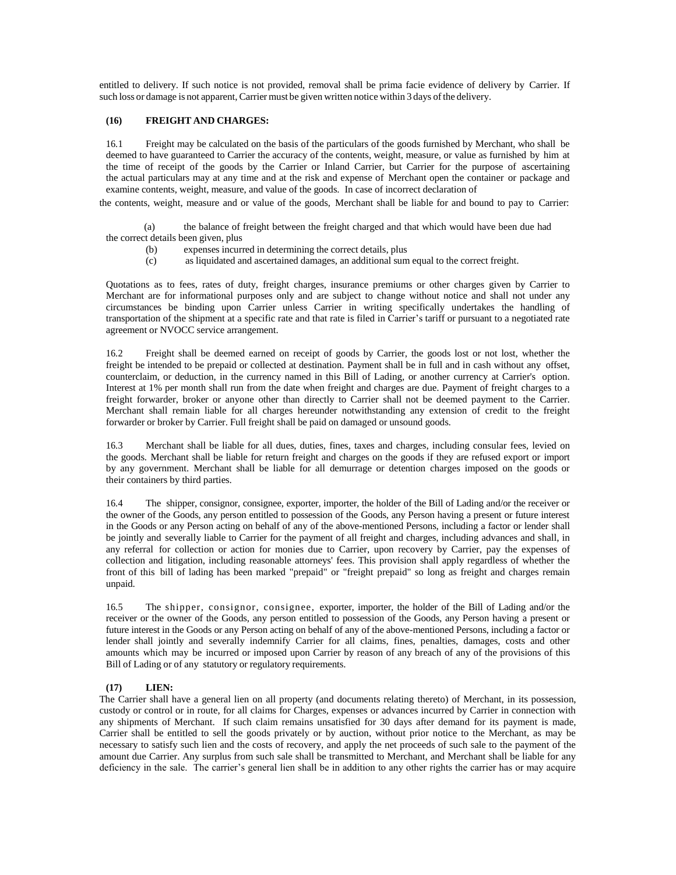entitled to delivery. If such notice is not provided, removal shall be prima facie evidence of delivery by Carrier. If such loss or damage is not apparent, Carrier must be given written notice within 3 days of the delivery.

#### **(16) FREIGHT AND CHARGES:**

16.1 Freight may be calculated on the basis of the particulars of the goods furnished by Merchant*,* who shall be deemed to have guaranteed to Carrier the accuracy of the contents, weight, measure, or value as furnished by him at the time of receipt of the goods by the Carrier or Inland Carrier, but Carrier for the purpose of ascertaining the actual particulars may at any time and at the risk and expense of Merchant open the container or package and examine contents, weight, measure, and value of the goods. In case of incorrect declaration of

the contents, weight, measure and or value of the goods, Merchant shall be liable for and bound to pay to Carrier:

(a) the balance of freight between the freight charged and that which would have been due had the correct details been given, plus

- (b) expenses incurred in determining the correct details, plus
- (c) as liquidated and ascertained damages, an additional sum equal to the correct freight.

Quotations as to fees, rates of duty, freight charges, insurance premiums or other charges given by Carrier to Merchant are for informational purposes only and are subject to change without notice and shall not under any circumstances be binding upon Carrier unless Carrier in writing specifically undertakes the handling of transportation of the shipment at a specific rate and that rate is filed in Carrier's tariff or pursuant to a negotiated rate agreement or NVOCC service arrangement.

16.2 Freight shall be deemed earned on receipt of goods by Carrier, the goods lost or not lost, whether the freight be intended to be prepaid or collected at destination. Payment shall be in full and in cash without any offset, counterclaim, or deduction, in the currency named in this Bill of Lading, or another currency at Carrier's option. Interest at 1% per month shall run from the date when freight and charges are due. Payment of freight charges to a freight forwarder, broker or anyone other than directly to Carrier shall not be deemed payment to the Carrier. Merchant shall remain liable for all charges hereunder notwithstanding any extension of credit to the freight forwarder or broker by Carrier. Full freight shall be paid on damaged or unsound goods.

16.3 Merchant shall be liable for all dues, duties, fines, taxes and charges, including consular fees, levied on the goods. Merchant shall be liable for return freight and charges on the goods if they are refused export or import by any government. Merchant shall be liable for all demurrage or detention charges imposed on the goods or their containers by third parties.

16.4 The shipper, consignor, consignee, exporter, importer, the holder of the Bill of Lading and/or the receiver or the owner of the Goods, any person entitled to possession of the Goods, any Person having a present or future interest in the Goods or any Person acting on behalf of any of the above-mentioned Persons, including a factor or lender shall be jointly and severally liable to Carrier for the payment of all freight and charges, including advances and shall, in any referral for collection or action for monies due to Carrier, upon recovery by Carrier, pay the expenses of collection and litigation, including reasonable attorneys' fees. This provision shall apply regardless of whether the front of this bill of lading has been marked "prepaid" or "freight prepaid" so long as freight and charges remain unpaid.

16.5 The shipper, consignor, consignee, exporter, importer, the holder of the Bill of Lading and/or the receiver or the owner of the Goods, any person entitled to possession of the Goods, any Person having a present or future interest in the Goods or any Person acting on behalf of any of the above-mentioned Persons, including a factor or lender shall jointly and severally indemnify Carrier for all claims, fines, penalties, damages, costs and other amounts which may be incurred or imposed upon Carrier by reason of any breach of any of the provisions of this Bill of Lading or of any statutory or regulatory requirements.

### **(17) LIEN:**

The Carrier shall have a general lien on all property (and documents relating thereto) of Merchant, in its possession, custody or control or in route, for all claims for Charges, expenses or advances incurred by Carrier in connection with any shipments of Merchant. If such claim remains unsatisfied for 30 days after demand for its payment is made, Carrier shall be entitled to sell the goods privately or by auction, without prior notice to the Merchant, as may be necessary to satisfy such lien and the costs of recovery, and apply the net proceeds of such sale to the payment of the amount due Carrier. Any surplus from such sale shall be transmitted to Merchant, and Merchant shall be liable for any deficiency in the sale. The carrier's general lien shall be in addition to any other rights the carrier has or may acquire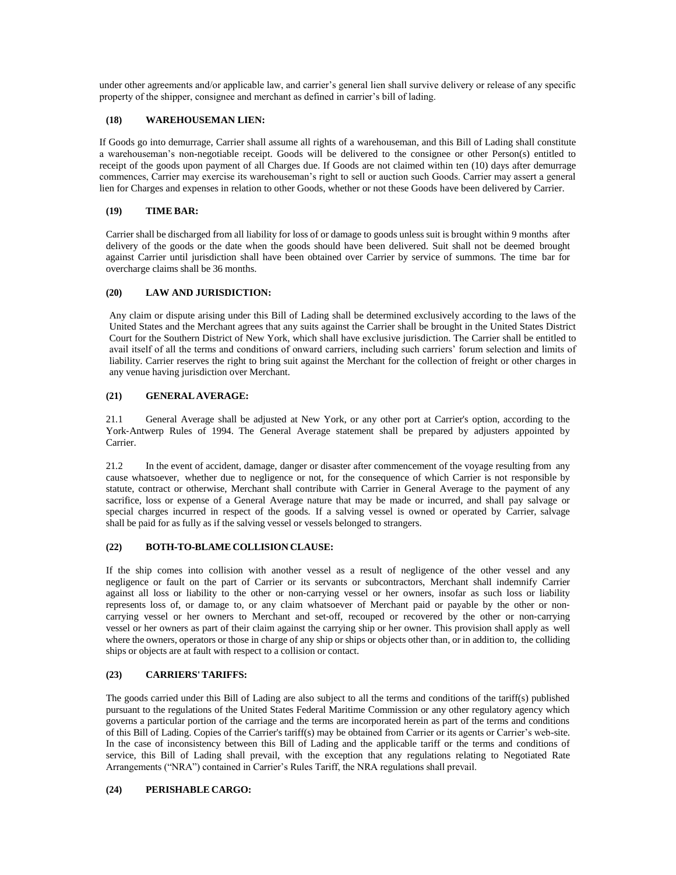under other agreements and/or applicable law, and carrier's general lien shall survive delivery or release of any specific property of the shipper, consignee and merchant as defined in carrier's bill of lading.

### **(18) WAREHOUSEMAN LIEN:**

If Goods go into demurrage, Carrier shall assume all rights of a warehouseman, and this Bill of Lading shall constitute a warehouseman's non-negotiable receipt. Goods will be delivered to the consignee or other Person(s) entitled to receipt of the goods upon payment of all Charges due. If Goods are not claimed within ten (10) days after demurrage commences, Carrier may exercise its warehouseman's right to sell or auction such Goods. Carrier may assert a general lien for Charges and expenses in relation to other Goods, whether or not these Goods have been delivered by Carrier.

### **(19) TIME BAR:**

Carrier shall be discharged from all liability for loss of or damage to goods unless suit is brought within 9 months after delivery of the goods or the date when the goods should have been delivered. Suit shall not be deemed brought against Carrier until jurisdiction shall have been obtained over Carrier by service of summons. The time bar for overcharge claims shall be 36 months.

### **(20) LAW AND JURISDICTION:**

Any claim or dispute arising under this Bill of Lading shall be determined exclusively according to the laws of the United States and the Merchant agrees that any suits against the Carrier shall be brought in the United States District Court for the Southern District of New York, which shall have exclusive jurisdiction. The Carrier shall be entitled to avail itself of all the terms and conditions of onward carriers, including such carriers' forum selection and limits of liability. Carrier reserves the right to bring suit against the Merchant for the collection of freight or other charges in any venue having jurisdiction over Merchant.

### **(21) GENERAL AVERAGE:**

21.1 General Average shall be adjusted at New York, or any other port at Carrier's option, according to the York‐Antwerp Rules of 1994. The General Average statement shall be prepared by adjusters appointed by Carrier.

21.2 In the event of accident, damage, danger or disaster after commencement of the voyage resulting from any cause whatsoever, whether due to negligence or not, for the consequence of which Carrier is not responsible by statute, contract or otherwise, Merchant shall contribute with Carrier in General Average to the payment of any sacrifice, loss or expense of a General Average nature that may be made or incurred, and shall pay salvage or special charges incurred in respect of the goods. If a salving vessel is owned or operated by Carrier, salvage shall be paid for as fully as if the salving vessel or vessels belonged to strangers.

### **(22) BOTH**‐**TO**‐**BLAME COLLISION CLAUSE:**

If the ship comes into collision with another vessel as a result of negligence of the other vessel and any negligence or fault on the part of Carrier or its servants or subcontractors, Merchant shall indemnify Carrier against all loss or liability to the other or non‐carrying vessel or her owners, insofar as such loss or liability represents loss of, or damage to, or any claim whatsoever of Merchant paid or payable by the other or noncarrying vessel or her owners to Merchant and set-off, recouped or recovered by the other or non-carrying vessel or her owners as part of their claim against the carrying ship or her owner. This provision shall apply as well where the owners, operators or those in charge of any ship or ships or objects other than, or in addition to, the colliding ships or objects are at fault with respect to a collision or contact.

## **(23) CARRIERS'TARIFFS:**

The goods carried under this Bill of Lading are also subject to all the terms and conditions of the tariff(s) published pursuant to the regulations of the United States Federal Maritime Commission or any other regulatory agency which governs a particular portion of the carriage and the terms are incorporated herein as part of the terms and conditions of this Bill of Lading. Copies of the Carrier's tariff(s) may be obtained from Carrier or its agents or Carrier's web-site. In the case of inconsistency between this Bill of Lading and the applicable tariff or the terms and conditions of service, this Bill of Lading shall prevail, with the exception that any regulations relating to Negotiated Rate Arrangements ("NRA") contained in Carrier's Rules Tariff, the NRA regulations shall prevail.

### **(24) PERISHABLE CARGO:**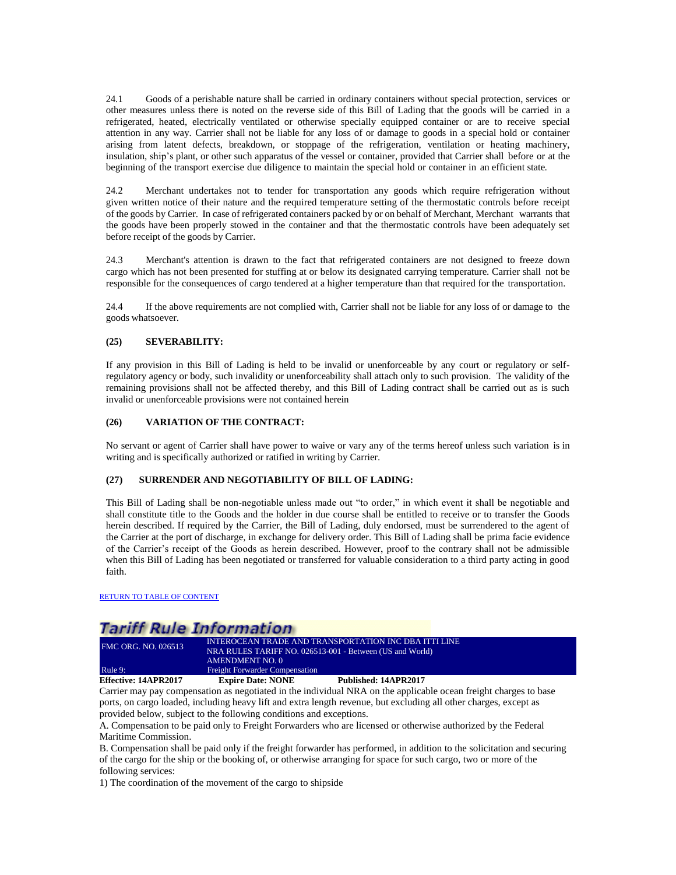24.1 Goods of a perishable nature shall be carried in ordinary containers without special protection, services or other measures unless there is noted on the reverse side of this Bill of Lading that the goods will be carried in a refrigerated, heated, electrically ventilated or otherwise specially equipped container or are to receive special attention in any way. Carrier shall not be liable for any loss of or damage to goods in a special hold or container arising from latent defects, breakdown, or stoppage of the refrigeration, ventilation or heating machinery, insulation, ship's plant, or other such apparatus of the vessel or container, provided that Carrier shall before or at the beginning of the transport exercise due diligence to maintain the special hold or container in an efficient state*.*

24.2 Merchant undertakes not to tender for transportation any goods which require refrigeration without given written notice of their nature and the required temperature setting of the thermostatic controls before receipt of the goods by Carrier. In case of refrigerated containers packed by or on behalf of Merchant, Merchant warrants that the goods have been properly stowed in the container and that the thermostatic controls have been adequately set before receipt of the goods by Carrier.

24.3 Merchant's attention is drawn to the fact that refrigerated containers are not designed to freeze down cargo which has not been presented for stuffing at or below its designated carrying temperature. Carrier shall not be responsible for the consequences of cargo tendered at a higher temperature than that required for the transportation.

24.4 If the above requirements are not complied with, Carrier shall not be liable for any loss of or damage to the goods whatsoever.

### **(25) SEVERABILITY:**

If any provision in this Bill of Lading is held to be invalid or unenforceable by any court or regulatory or selfregulatory agency or body, such invalidity or unenforceability shall attach only to such provision. The validity of the remaining provisions shall not be affected thereby, and this Bill of Lading contract shall be carried out as is such invalid or unenforceable provisions were not contained herein

#### **(26) VARIATION OF THE CONTRACT:**

No servant or agent of Carrier shall have power to waive or vary any of the terms hereof unless such variation is in writing and is specifically authorized or ratified in writing by Carrier.

### **(27) SURRENDER AND NEGOTIABILITY OF BILL OF LADING:**

This Bill of Lading shall be non-negotiable unless made out "to order," in which event it shall be negotiable and shall constitute title to the Goods and the holder in due course shall be entitled to receive or to transfer the Goods herein described. If required by the Carrier, the Bill of Lading, duly endorsed, must be surrendered to the agent of the Carrier at the port of discharge, in exchange for delivery order. This Bill of Lading shall be prima facie evidence of the Carrier's receipt of the Goods as herein described. However, proof to the contrary shall not be admissible when this Bill of Lading has been negotiated or transferred for valuable consideration to a third party acting in good faith.

[RETURN TO TABLE OF CONTENT](#page-2-0)

## **Tariff Rule Information**

| Effective: 14APR2017       | <b>Expire Date: NONE</b>                                 | Published: 14APR2017                                  |  |
|----------------------------|----------------------------------------------------------|-------------------------------------------------------|--|
| Rule 9:                    | <b>Freight Forwarder Compensation</b>                    |                                                       |  |
|                            | AMENDMENT NO. 0                                          |                                                       |  |
|                            | NRA RULES TARIFF NO. 026513-001 - Between (US and World) |                                                       |  |
| <b>FMC ORG. NO. 026513</b> |                                                          | INTEROCEAN TRADE AND TRANSPORTATION INC DBA ITTI LINE |  |

<span id="page-24-0"></span>Carrier may pay compensation as negotiated in the individual NRA on the applicable ocean freight charges to base ports, on cargo loaded, including heavy lift and extra length revenue, but excluding all other charges, except as provided below, subject to the following conditions and exceptions.

A. Compensation to be paid only to Freight Forwarders who are licensed or otherwise authorized by the Federal Maritime Commission.

B. Compensation shall be paid only if the freight forwarder has performed, in addition to the solicitation and securing of the cargo for the ship or the booking of, or otherwise arranging for space for such cargo, two or more of the following services:

1) The coordination of the movement of the cargo to shipside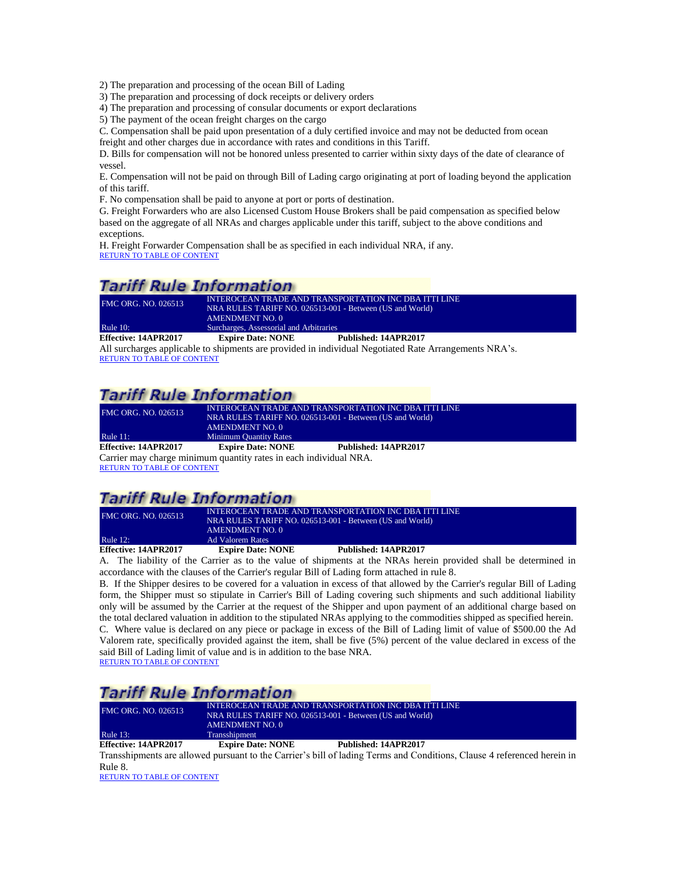2) The preparation and processing of the ocean Bill of Lading

3) The preparation and processing of dock receipts or delivery orders

4) The preparation and processing of consular documents or export declarations

5) The payment of the ocean freight charges on the cargo

C. Compensation shall be paid upon presentation of a duly certified invoice and may not be deducted from ocean freight and other charges due in accordance with rates and conditions in this Tariff.

D. Bills for compensation will not be honored unless presented to carrier within sixty days of the date of clearance of vessel.

E. Compensation will not be paid on through Bill of Lading cargo originating at port of loading beyond the application of this tariff.

F. No compensation shall be paid to anyone at port or ports of destination.

G. Freight Forwarders who are also Licensed Custom House Brokers shall be paid compensation as specified below based on the aggregate of all NRAs and charges applicable under this tariff, subject to the above conditions and exceptions.

H. Freight Forwarder Compensation shall be as specified in each individual NRA, if any. [RETURN TO TABLE OF CONTENT](#page-2-0)

# **Tariff Rule Information**

| <b>FMC ORG. NO. 026513</b>                                                                           | INTEROCEAN TRADE AND TRANSPORTATION INC DBA ITTI LINE<br>NRA RULES TARIFF NO. 026513-001 - Between (US and World)<br>AMENDMENT NO. 0 |                      |
|------------------------------------------------------------------------------------------------------|--------------------------------------------------------------------------------------------------------------------------------------|----------------------|
| Rule $10$ :                                                                                          | Surcharges, Assessorial and Arbitraries                                                                                              |                      |
| <b>Effective: 14APR2017</b>                                                                          | <b>Expire Date: NONE</b>                                                                                                             | Published: 14APR2017 |
| All surcharges applicable to shipments are provided in individual Negotiated Rate Arrangements NRA's |                                                                                                                                      |                      |

<span id="page-25-0"></span>All surcharges applicable to shipments are provided in individual Negotiated Rate Arrangements NRA's. [RETURN TO TABLE OF CONTENT](#page-2-0)

# **Tariff Rule Information**

<span id="page-25-1"></span>

| <b>FMC ORG. NO. 026513</b>  | INTEROCEAN TRADE AND TRANSPORTATION INC DBA ITTI LINE<br>NRA RULES TARIFF NO. 026513-001 - Between (US and World)<br>AMENDMENT NO. 0 |                      |
|-----------------------------|--------------------------------------------------------------------------------------------------------------------------------------|----------------------|
| Rule $11:$                  | <b>Minimum Quantity Rates</b>                                                                                                        |                      |
| <b>Effective: 14APR2017</b> | <b>Expire Date: NONE</b>                                                                                                             | Published: 14APR2017 |
|                             | Carrier may charge minimum quantity rates in each individual NRA.                                                                    |                      |

[RETURN TO TABLE OF](#page-2-0) CONTENT

## **Tariff Rule Information**

| FMC ORG. NO. 026513  | INTEROCEAN TRADE AND TRANSPORTATION INC DBA ITTI LINE<br>NRA RULES TARIFF NO. 026513-001 - Between (US and World)<br>AMENDMENT NO. 0 |                      |
|----------------------|--------------------------------------------------------------------------------------------------------------------------------------|----------------------|
| Rule $12:$           | Ad Valorem Rates                                                                                                                     |                      |
| Effective: 14APR2017 | <b>Expire Date: NONE</b>                                                                                                             | Published: 14APR2017 |

<span id="page-25-2"></span>A. The liability of the Carrier as to the value of shipments at the NRAs herein provided shall be determined in accordance with the clauses of the Carrier's regular Bill of Lading form attached in rule 8.

B. If the Shipper desires to be covered for a valuation in excess of that allowed by the Carrier's regular Bill of Lading form, the Shipper must so stipulate in Carrier's Bill of Lading covering such shipments and such additional liability only will be assumed by the Carrier at the request of the Shipper and upon payment of an additional charge based on the total declared valuation in addition to the stipulated NRAs applying to the commodities shipped as specified herein. C. Where value is declared on any piece or package in excess of the Bill of Lading limit of value of \$500.00 the Ad Valorem rate, specifically provided against the item, shall be five (5%) percent of the value declared in excess of the said Bill of Lading limit of value and is in addition to the base NRA.

[RETURN TO TABLE OF CONTENT](#page-2-0)

# **Tariff Rule Information**

| <b>FMC ORG. NO. 026513</b> | NRA RULES TARIFF NO. 026513-001 - Between (US and World)<br>AMENDMENT NO. 0 |                      |  |
|----------------------------|-----------------------------------------------------------------------------|----------------------|--|
| Rule $13$ :                | <b>Transshipment</b>                                                        |                      |  |
| Effective: 14APR2017       | <b>Expire Date: NONE</b>                                                    | Published: 14APR2017 |  |

<span id="page-25-3"></span>Transshipments are allowed pursuant to the Carrier's bill of lading Terms and Conditions, Clause 4 referenced herein in Rule 8.

[RETURN TO TABLE OF CONTENT](#page-2-0)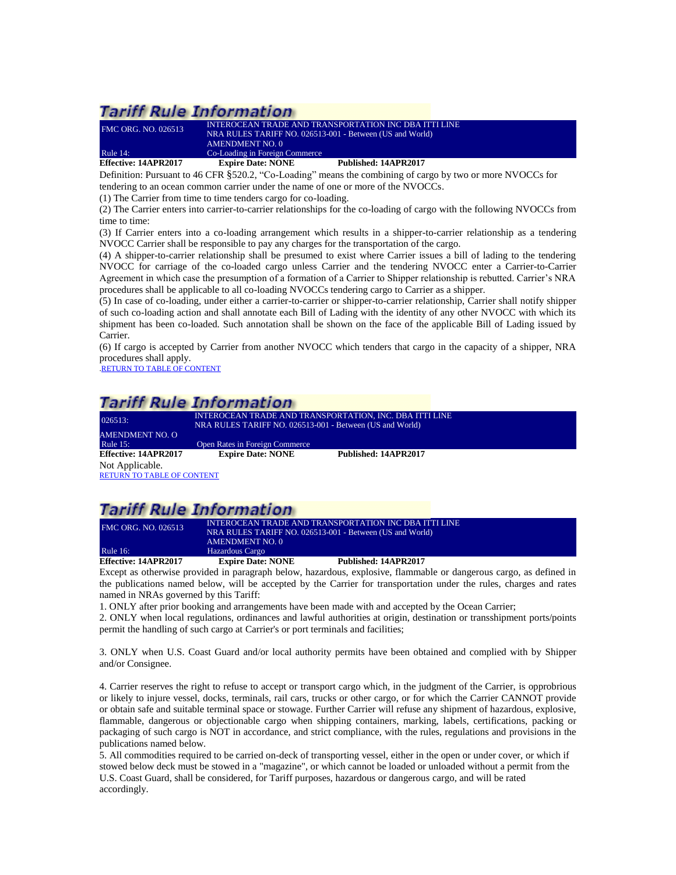| <b>Effective: 14APR2017</b> | <b>Expire Date: NONE</b>       | Published: 14APR2017                                     |  |
|-----------------------------|--------------------------------|----------------------------------------------------------|--|
| <b>Rule 14:</b>             | Co-Loading in Foreign Commerce |                                                          |  |
|                             | AMENDMENT NO. 0                |                                                          |  |
|                             |                                | NRA RULES TARIFF NO. 026513-001 - Between (US and World) |  |
| <b>FMC ORG. NO. 026513</b>  |                                | INTEROCEAN TRADE AND TRANSPORTATION INC DBA ITTI LINE    |  |

<span id="page-26-0"></span>Definition: Pursuant to 46 CFR §520.2, "Co-Loading" means the combining of cargo by two or more NVOCCs for

tendering to an ocean common carrier under the name of one or more of the NVOCCs.

(1) The Carrier from time to time tenders cargo for co-loading.

(2) The Carrier enters into carrier-to-carrier relationships for the co-loading of cargo with the following NVOCCs from time to time:

(3) If Carrier enters into a co-loading arrangement which results in a shipper-to-carrier relationship as a tendering NVOCC Carrier shall be responsible to pay any charges for the transportation of the cargo.

(4) A shipper-to-carrier relationship shall be presumed to exist where Carrier issues a bill of lading to the tendering NVOCC for carriage of the co-loaded cargo unless Carrier and the tendering NVOCC enter a Carrier-to-Carrier Agreement in which case the presumption of a formation of a Carrier to Shipper relationship is rebutted. Carrier's NRA procedures shall be applicable to all co-loading NVOCCs tendering cargo to Carrier as a shipper.

(5) In case of co-loading, under either a carrier-to-carrier or shipper-to-carrier relationship, Carrier shall notify shipper of such co-loading action and shall annotate each Bill of Lading with the identity of any other NVOCC with which its shipment has been co-loaded. Such annotation shall be shown on the face of the applicable Bill of Lading issued by Carrier.

(6) If cargo is accepted by Carrier from another NVOCC which tenders that cargo in the capacity of a shipper, NRA procedures shall apply.

[.RETURN TO TABLE OF CONTENT](#page-2-0)

# Tariff Rule Information

<span id="page-26-1"></span>026513: INTEROCEAN TRADE AND TRANSPORTATION, INC. DBA ITTI LINE NRA RULES TARIFF NO. 026513-001 - Between (US and World) AMENDMENT NO. O<br>Rule 15: Open Rates in Foreign Commerce **Effective: 14APR2017 Expire Date: NONE Published: 14APR2017** Not Applicable. [RETURN TO TABLE OF CONTENT](#page-2-0)

## **Tariff Rule Information**

| <b>Effective: 14APR2017</b> | <b>Expire Date: NONE</b>                                 | Published: 14APR2017 |  |
|-----------------------------|----------------------------------------------------------|----------------------|--|
| Rule $16$ :                 | Hazardous Cargo                                          |                      |  |
|                             | AMENDMENT NO. 0                                          |                      |  |
|                             | NRA RULES TARIFF NO. 026513-001 - Between (US and World) |                      |  |
| <b>FMC ORG. NO. 026513</b>  | INTEROCEAN TRADE AND TRANSPORTATION INC DBA ITTI LINE    |                      |  |
|                             |                                                          |                      |  |

<span id="page-26-2"></span>Except as otherwise provided in paragraph below, hazardous, explosive, flammable or dangerous cargo, as defined in the publications named below, will be accepted by the Carrier for transportation under the rules, charges and rates named in NRAs governed by this Tariff:

1. ONLY after prior booking and arrangements have been made with and accepted by the Ocean Carrier;

2. ONLY when local regulations, ordinances and lawful authorities at origin, destination or transshipment ports/points permit the handling of such cargo at Carrier's or port terminals and facilities;

3. ONLY when U.S. Coast Guard and/or local authority permits have been obtained and complied with by Shipper and/or Consignee.

4. Carrier reserves the right to refuse to accept or transport cargo which, in the judgment of the Carrier, is opprobrious or likely to injure vessel, docks, terminals, rail cars, trucks or other cargo, or for which the Carrier CANNOT provide or obtain safe and suitable terminal space or stowage. Further Carrier will refuse any shipment of hazardous, explosive, flammable, dangerous or objectionable cargo when shipping containers, marking, labels, certifications, packing or packaging of such cargo is NOT in accordance, and strict compliance, with the rules, regulations and provisions in the publications named below.

5. All commodities required to be carried on-deck of transporting vessel, either in the open or under cover, or which if stowed below deck must be stowed in a "magazine", or which cannot be loaded or unloaded without a permit from the U.S. Coast Guard, shall be considered, for Tariff purposes, hazardous or dangerous cargo, and will be rated accordingly.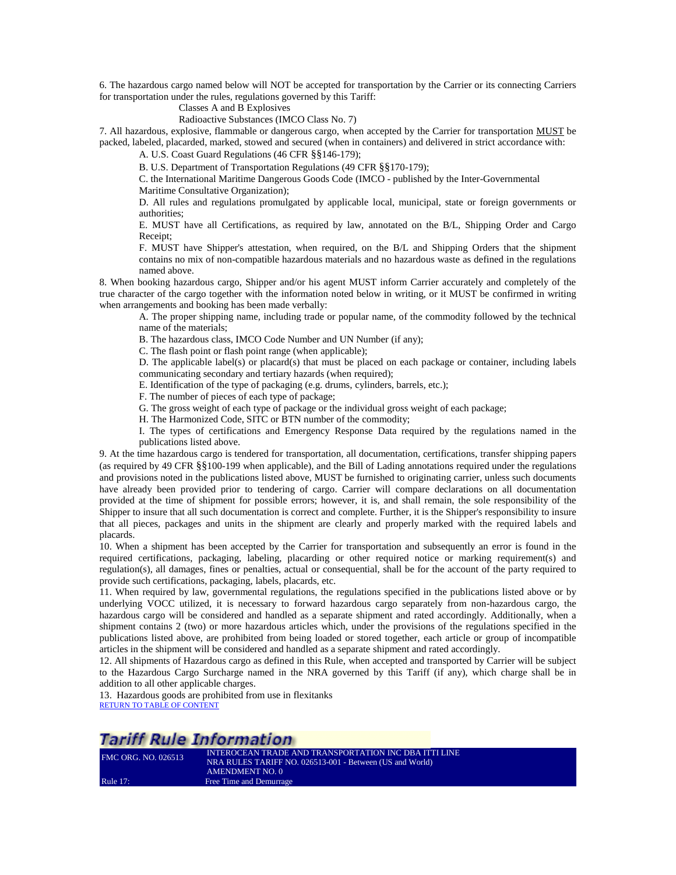6. The hazardous cargo named below will NOT be accepted for transportation by the Carrier or its connecting Carriers for transportation under the rules, regulations governed by this Tariff:

Classes A and B Explosives

Radioactive Substances (IMCO Class No. 7)

7. All hazardous, explosive, flammable or dangerous cargo, when accepted by the Carrier for transportation MUST be packed, labeled, placarded, marked, stowed and secured (when in containers) and delivered in strict accordance with:

A. U.S. Coast Guard Regulations (46 CFR §§146-179);

B. U.S. Department of Transportation Regulations (49 CFR §§170-179);

C. the International Maritime Dangerous Goods Code (IMCO - published by the Inter-Governmental Maritime Consultative Organization);

D. All rules and regulations promulgated by applicable local, municipal, state or foreign governments or authorities;

E. MUST have all Certifications, as required by law, annotated on the B/L, Shipping Order and Cargo Receipt;

F. MUST have Shipper's attestation, when required, on the B/L and Shipping Orders that the shipment contains no mix of non-compatible hazardous materials and no hazardous waste as defined in the regulations named above.

8. When booking hazardous cargo, Shipper and/or his agent MUST inform Carrier accurately and completely of the true character of the cargo together with the information noted below in writing, or it MUST be confirmed in writing when arrangements and booking has been made verbally:

A. The proper shipping name, including trade or popular name, of the commodity followed by the technical name of the materials;

B. The hazardous class, IMCO Code Number and UN Number (if any);

C. The flash point or flash point range (when applicable);

D. The applicable label(s) or placard(s) that must be placed on each package or container, including labels communicating secondary and tertiary hazards (when required);

E. Identification of the type of packaging (e.g. drums, cylinders, barrels, etc.);

F. The number of pieces of each type of package;

G. The gross weight of each type of package or the individual gross weight of each package;

H. The Harmonized Code, SITC or BTN number of the commodity;

I. The types of certifications and Emergency Response Data required by the regulations named in the publications listed above.

9. At the time hazardous cargo is tendered for transportation, all documentation, certifications, transfer shipping papers (as required by 49 CFR §§100-199 when applicable), and the Bill of Lading annotations required under the regulations and provisions noted in the publications listed above, MUST be furnished to originating carrier, unless such documents have already been provided prior to tendering of cargo. Carrier will compare declarations on all documentation provided at the time of shipment for possible errors; however, it is, and shall remain, the sole responsibility of the Shipper to insure that all such documentation is correct and complete. Further, it is the Shipper's responsibility to insure that all pieces, packages and units in the shipment are clearly and properly marked with the required labels and placards.

10. When a shipment has been accepted by the Carrier for transportation and subsequently an error is found in the required certifications, packaging, labeling, placarding or other required notice or marking requirement(s) and regulation(s), all damages, fines or penalties, actual or consequential, shall be for the account of the party required to provide such certifications, packaging, labels, placards, etc.

11. When required by law, governmental regulations, the regulations specified in the publications listed above or by underlying VOCC utilized, it is necessary to forward hazardous cargo separately from non-hazardous cargo, the hazardous cargo will be considered and handled as a separate shipment and rated accordingly. Additionally, when a shipment contains 2 (two) or more hazardous articles which, under the provisions of the regulations specified in the publications listed above, are prohibited from being loaded or stored together, each article or group of incompatible articles in the shipment will be considered and handled as a separate shipment and rated accordingly.

12. All shipments of Hazardous cargo as defined in this Rule, when accepted and transported by Carrier will be subject to the Hazardous Cargo Surcharge named in the NRA governed by this Tariff (if any), which charge shall be in addition to all other applicable charges.

13. Hazardous goods are prohibited from use in flexitanks [RETURN TO TABLE OF CONTENT](#page-2-0)

## **Tariff Rule Information**

<span id="page-27-0"></span>

| <b>FMC ORG. NO. 026513</b> | INTEROCEAN TRADE AND TRANSPORTATION INC DBA ITTI LINE    |
|----------------------------|----------------------------------------------------------|
|                            | NRA RULES TARIFF NO. 026513-001 - Between (US and World) |
|                            | AMENDMENT NO. 0                                          |
| <b>Rule 17:</b>            | Free Time and Demurrage                                  |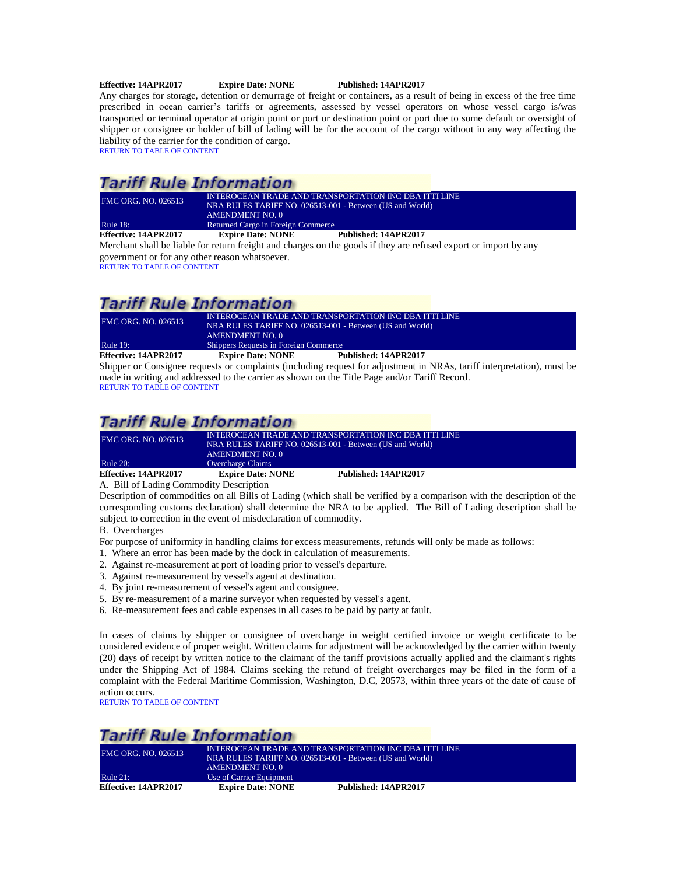#### **Effective: 14APR2017 Expire Date: NONE Published: 14APR2017**

Any charges for storage, detention or demurrage of freight or containers, as a result of being in excess of the free time prescribed in ocean carrier's tariffs or agreements, assessed by vessel operators on whose vessel cargo is/was transported or terminal operator at origin point or port or destination point or port due to some default or oversight of shipper or consignee or holder of bill of lading will be for the account of the cargo without in any way affecting the liability of the carrier for the condition of cargo. [RETURN TO TABLE OF CONTENT](#page-2-0)

# **Tariff Rule Information**

| <b>FMC ORG. NO. 026513</b> | INTEROCEAN TRADE AND TRANSPORTATION INC DBA ITTI LINE<br>NRA RULES TARIFF NO. 026513-001 - Between (US and World)<br>AMENDMENT NO. 0 |                      |
|----------------------------|--------------------------------------------------------------------------------------------------------------------------------------|----------------------|
| <b>Rule 18:</b>            | Returned Cargo in Foreign Commerce                                                                                                   |                      |
| Effective: 14APR2017       | <b>Expire Date: NONE</b>                                                                                                             | Published: 14APR2017 |

<span id="page-28-0"></span>Merchant shall be liable for return freight and charges on the goods if they are refused export or import by any government or for any other reason whatsoever.

[RETURN TO TABLE OF CONTENT](#page-2-0)

# **Tariff Rule Information**

| <b>FMC ORG. NO. 026513</b> | INTEROCEAN TRADE AND TRANSPORTATION INC DBA ITTI LINE<br>NRA RULES TARIFF NO. 026513-001 - Between (US and World)<br>AMENDMENT NO. 0 |                      |
|----------------------------|--------------------------------------------------------------------------------------------------------------------------------------|----------------------|
| <b>Rule 19:</b>            | Shippers Requests in Foreign Commerce                                                                                                |                      |
| Effective: 14APR2017       | <b>Expire Date: NONE</b>                                                                                                             | Published: 14APR2017 |

<span id="page-28-1"></span>Shipper or Consignee requests or complaints (including request for adjustment in NRAs, tariff interpretation), must be made in writing and addressed to the carrier as shown on the Title Page and/or Tariff Record. [RETURN TO TABLE OF CONTENT](#page-2-0)

## **Tariff Rule Information**

| <b>FMC ORG. NO. 026513</b> | INTEROCEAN TRADE AND TRANSPORTATION INC DBA ITTI LINE    |                      |  |
|----------------------------|----------------------------------------------------------|----------------------|--|
|                            | NRA RULES TARIFF NO. 026513-001 - Between (US and World) |                      |  |
|                            | AMENDMENT NO. 0                                          |                      |  |
| <b>Rule 20:</b>            | Overcharge Claims                                        |                      |  |
| Effective: 14APR2017       | <b>Expire Date: NONE</b>                                 | Published: 14APR2017 |  |

<span id="page-28-2"></span>A. Bill of Lading Commodity Description

Description of commodities on all Bills of Lading (which shall be verified by a comparison with the description of the corresponding customs declaration) shall determine the NRA to be applied. The Bill of Lading description shall be subject to correction in the event of misdeclaration of commodity.

B. Overcharges

- For purpose of uniformity in handling claims for excess measurements, refunds will only be made as follows:
- 1. Where an error has been made by the dock in calculation of measurements.
- 2. Against re-measurement at port of loading prior to vessel's departure.
- 3. Against re-measurement by vessel's agent at destination.
- 4. By joint re-measurement of vessel's agent and consignee.
- 5. By re-measurement of a marine surveyor when requested by vessel's agent.
- 6. Re-measurement fees and cable expenses in all cases to be paid by party at fault.

In cases of claims by shipper or consignee of overcharge in weight certified invoice or weight certificate to be considered evidence of proper weight. Written claims for adjustment will be acknowledged by the carrier within twenty (20) days of receipt by written notice to the claimant of the tariff provisions actually applied and the claimant's rights under the Shipping Act of 1984. Claims seeking the refund of freight overcharges may be filed in the form of a complaint with the Federal Maritime Commission, Washington, D.C, 20573, within three years of the date of cause of action occurs.

[RETURN TO TABLE OF CONTENT](#page-2-0)

## **Tariff Rule Information**

<span id="page-28-3"></span>

| <b>FMC ORG. NO. 026513</b> | INTEROCEAN TRADE AND TRANSPORTATION INC DBA ITTI LINE<br>NRA RULES TARIFF NO. 026513-001 - Between (US and World)<br>AMENDMENT NO. 0 |                      |
|----------------------------|--------------------------------------------------------------------------------------------------------------------------------------|----------------------|
| Rule $21$ :                | Use of Carrier Equipment                                                                                                             |                      |
| Effective: 14APR2017       | <b>Expire Date: NONE</b>                                                                                                             | Published: 14APR2017 |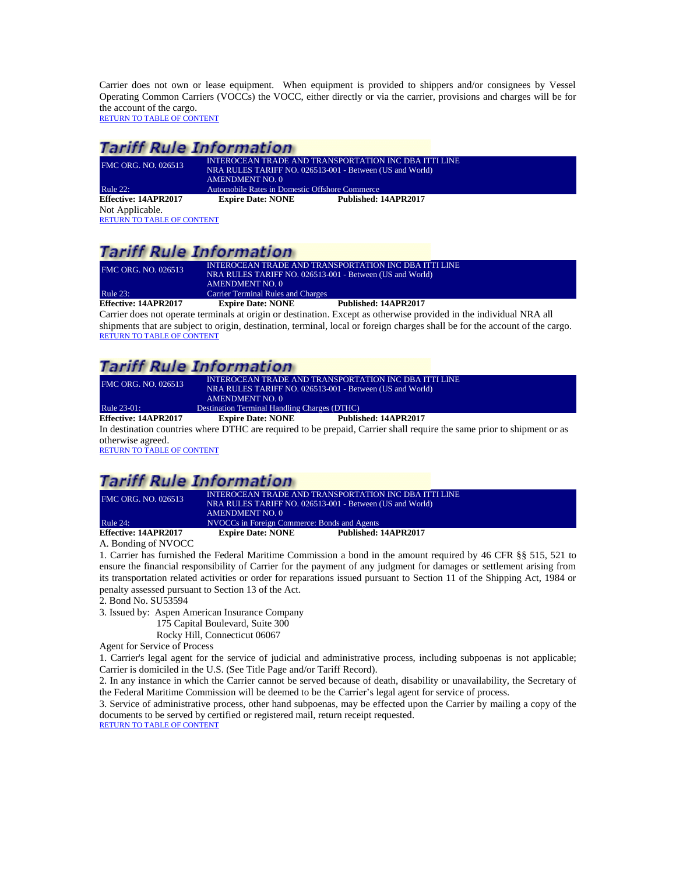Carrier does not own or lease equipment. When equipment is provided to shippers and/or consignees by Vessel Operating Common Carriers (VOCCs) the VOCC, either directly or via the carrier, provisions and charges will be for the account of the cargo. [RETURN TO TABLE OF CONTENT](#page-2-0)

## **Tariff Rule Information**

<span id="page-29-0"></span>

| FMC ORG. NO. 026513               | INTEROCEAN TRADE AND TRANSPORTATION INC DBA ITTI LINE    |                                                |  |  |
|-----------------------------------|----------------------------------------------------------|------------------------------------------------|--|--|
|                                   | NRA RULES TARIFF NO. 026513-001 - Between (US and World) |                                                |  |  |
|                                   | AMENDMENT NO. 0                                          |                                                |  |  |
| <b>Rule 22:</b>                   |                                                          | Automobile Rates in Domestic Offshore Commerce |  |  |
| Effective: 14APR2017              | <b>Expire Date: NONE</b>                                 | Published: 14APR2017                           |  |  |
| Not Applicable.                   |                                                          |                                                |  |  |
| <b>RETURN TO TABLE OF CONTENT</b> |                                                          |                                                |  |  |

## **Tariff Rule Information**

| <b>FMC ORG. NO. 026513</b> | INTEROCEAN TRADE AND TRANSPORTATION INC DBA ITTI LINE<br>NRA RULES TARIFF NO. 026513-001 - Between (US and World) |                      |
|----------------------------|-------------------------------------------------------------------------------------------------------------------|----------------------|
|                            | AMENDMENT NO. 0                                                                                                   |                      |
| Rule $23$ :                | <b>Carrier Terminal Rules and Charges</b>                                                                         |                      |
| Effective: 14APR2017       | <b>Expire Date: NONE</b>                                                                                          | Published: 14APR2017 |

<span id="page-29-1"></span>Carrier does not operate terminals at origin or destination. Except as otherwise provided in the individual NRA all shipments that are subject to origin, destination, terminal, local or foreign charges shall be for the account of the cargo. [RETURN TO TABLE OF CONTENT](#page-2-0)

# **Tariff Rule Information**

| Effective: 14APR2017       | <b>Expire Date: NONE</b>                                 | Published: 14APR2017 |  |
|----------------------------|----------------------------------------------------------|----------------------|--|
| Rule 23-01:                | Destination Terminal Handling Charges (DTHC)             |                      |  |
|                            | <b>AMENDMENT NO. 0</b>                                   |                      |  |
|                            | NRA RULES TARIFF NO. 026513-001 - Between (US and World) |                      |  |
| <b>FMC ORG. NO. 026513</b> | INTEROCEAN TRADE AND TRANSPORTATION INC DBA ITTI LINE    |                      |  |

<span id="page-29-2"></span>In destination countries where DTHC are required to be prepaid, Carrier shall require the same prior to shipment or as otherwise agreed.

[RETURN TO TABLE OF CONTENT](#page-2-0)

# **Tariff Rule Information**

| <b>FMC ORG. NO. 026513</b> | INTEROCEAN TRADE AND TRANSPORTATION INC DBA ITTI LINE<br>NRA RULES TARIFF NO. 026513-001 - Between (US and World) |                      |
|----------------------------|-------------------------------------------------------------------------------------------------------------------|----------------------|
|                            | AMENDMENT NO. 0                                                                                                   |                      |
| <b>Rule 24:</b>            | NVOCCs in Foreign Commerce: Bonds and Agents                                                                      |                      |
| Effective: 14APR2017       | <b>Expire Date: NONE</b>                                                                                          | Published: 14APR2017 |

<span id="page-29-3"></span>A. Bonding of NVOCC

1. Carrier has furnished the Federal Maritime Commission a bond in the amount required by 46 CFR §§ 515, 521 to ensure the financial responsibility of Carrier for the payment of any judgment for damages or settlement arising from its transportation related activities or order for reparations issued pursuant to Section 11 of the Shipping Act, 1984 or penalty assessed pursuant to Section 13 of the Act.

2. Bond No. SU53594

3. Issued by: Aspen American Insurance Company

175 Capital Boulevard, Suite 300

Rocky Hill, Connecticut 06067

Agent for Service of Process

1. Carrier's legal agent for the service of judicial and administrative process, including subpoenas is not applicable; Carrier is domiciled in the U.S. (See Title Page and/or Tariff Record).

2. In any instance in which the Carrier cannot be served because of death, disability or unavailability, the Secretary of the Federal Maritime Commission will be deemed to be the Carrier's legal agent for service of process.

3. Service of administrative process, other hand subpoenas, may be effected upon the Carrier by mailing a copy of the documents to be served by certified or registered mail, return receipt requested.

[RETURN TO TABLE OF CONTENT](#page-2-0)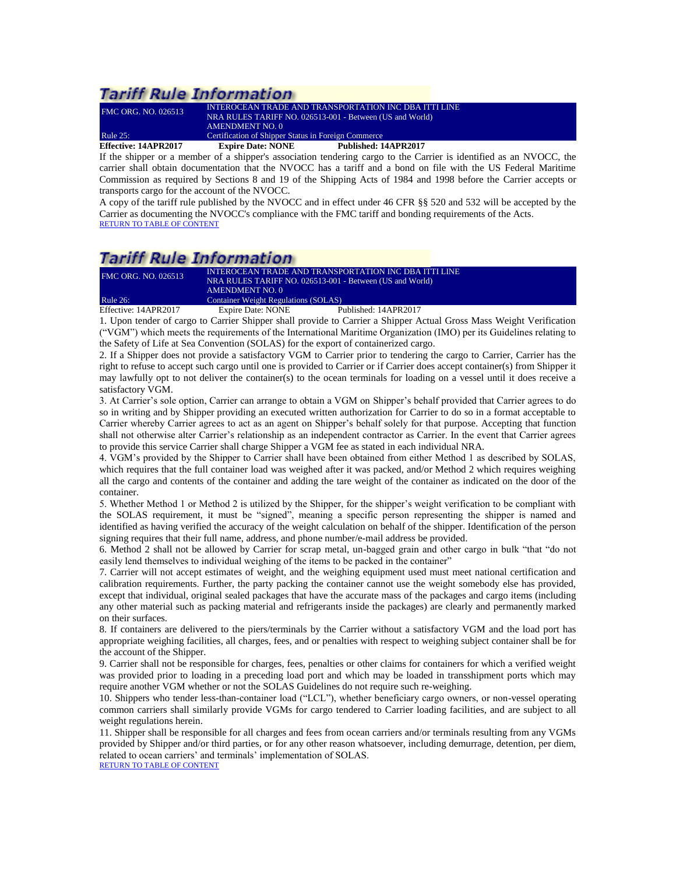| Effective: 14APR2017       | <b>Expire Date: NONE</b>                                 | Published: 14APR2017                                  |
|----------------------------|----------------------------------------------------------|-------------------------------------------------------|
| Rule $25$ :                | Certification of Shipper Status in Foreign Commerce      |                                                       |
|                            | AMENDMENT NO. 0                                          |                                                       |
|                            | NRA RULES TARIFF NO. 026513-001 - Between (US and World) |                                                       |
| <b>FMC ORG. NO. 026513</b> |                                                          | INTEROCEAN TRADE AND TRANSPORTATION INC DBA ITTI LINE |

<span id="page-30-0"></span>If the shipper or a member of a shipper's association tendering cargo to the Carrier is identified as an NVOCC, the carrier shall obtain documentation that the NVOCC has a tariff and a bond on file with the US Federal Maritime Commission as required by Sections 8 and 19 of the Shipping Acts of 1984 and 1998 before the Carrier accepts or transports cargo for the account of the NVOCC.

A copy of the tariff rule published by the NVOCC and in effect under 46 CFR §§ 520 and 532 will be accepted by the Carrier as documenting the NVOCC's compliance with the FMC tariff and bonding requirements of the Acts. [RETURN TO TABLE OF CONTENT](#page-2-0)

# **Tariff Rule Information**

| <b>FMC ORG. NO. 026513</b> | AMENDMENT NO. 0                      | INTEROCEAN TRADE AND TRANSPORTATION INC DBA ITTI LINE<br>NRA RULES TARIFF NO. 026513-001 - Between (US and World) |  |
|----------------------------|--------------------------------------|-------------------------------------------------------------------------------------------------------------------|--|
| Rule $26$ :                | Container Weight Regulations (SOLAS) |                                                                                                                   |  |
| Effective: 14APR2017       | Expire Date: NONE                    | Published: 14APR2017                                                                                              |  |

<span id="page-30-1"></span>1. Upon tender of cargo to Carrier Shipper shall provide to Carrier a Shipper Actual Gross Mass Weight Verification ("VGM") which meets the requirements of the International Maritime Organization (IMO) per its Guidelines relating to the Safety of Life at Sea Convention (SOLAS) for the export of containerized cargo.

2. If a Shipper does not provide a satisfactory VGM to Carrier prior to tendering the cargo to Carrier, Carrier has the right to refuse to accept such cargo until one is provided to Carrier or if Carrier does accept container(s) from Shipper it may lawfully opt to not deliver the container(s) to the ocean terminals for loading on a vessel until it does receive a satisfactory VGM.

3. At Carrier's sole option, Carrier can arrange to obtain a VGM on Shipper's behalf provided that Carrier agrees to do so in writing and by Shipper providing an executed written authorization for Carrier to do so in a format acceptable to Carrier whereby Carrier agrees to act as an agent on Shipper's behalf solely for that purpose. Accepting that function shall not otherwise alter Carrier's relationship as an independent contractor as Carrier. In the event that Carrier agrees to provide this service Carrier shall charge Shipper a VGM fee as stated in each individual NRA.

4. VGM's provided by the Shipper to Carrier shall have been obtained from either Method 1 as described by SOLAS, which requires that the full container load was weighed after it was packed, and/or Method 2 which requires weighing all the cargo and contents of the container and adding the tare weight of the container as indicated on the door of the container.

5. Whether Method 1 or Method 2 is utilized by the Shipper, for the shipper's weight verification to be compliant with the SOLAS requirement, it must be "signed", meaning a specific person representing the shipper is named and identified as having verified the accuracy of the weight calculation on behalf of the shipper. Identification of the person signing requires that their full name, address, and phone number/e-mail address be provided.

6. Method 2 shall not be allowed by Carrier for scrap metal, un-bagged grain and other cargo in bulk "that "do not easily lend themselves to individual weighing of the items to be packed in the container"

7. Carrier will not accept estimates of weight, and the weighing equipment used must meet national certification and calibration requirements. Further, the party packing the container cannot use the weight somebody else has provided, except that individual, original sealed packages that have the accurate mass of the packages and cargo items (including any other material such as packing material and refrigerants inside the packages) are clearly and permanently marked on their surfaces.

8. If containers are delivered to the piers/terminals by the Carrier without a satisfactory VGM and the load port has appropriate weighing facilities, all charges, fees, and or penalties with respect to weighing subject container shall be for the account of the Shipper.

9. Carrier shall not be responsible for charges, fees, penalties or other claims for containers for which a verified weight was provided prior to loading in a preceding load port and which may be loaded in transshipment ports which may require another VGM whether or not the SOLAS Guidelines do not require such re-weighing.

10. Shippers who tender less-than-container load ("LCL"), whether beneficiary cargo owners, or non-vessel operating common carriers shall similarly provide VGMs for cargo tendered to Carrier loading facilities, and are subject to all weight regulations herein.

11. Shipper shall be responsible for all charges and fees from ocean carriers and/or terminals resulting from any VGMs provided by Shipper and/or third parties, or for any other reason whatsoever, including demurrage, detention, per diem, related to ocean carriers' and terminals' implementation of SOLAS.

[RETURN TO TABLE OF CONTENT](#page-2-0)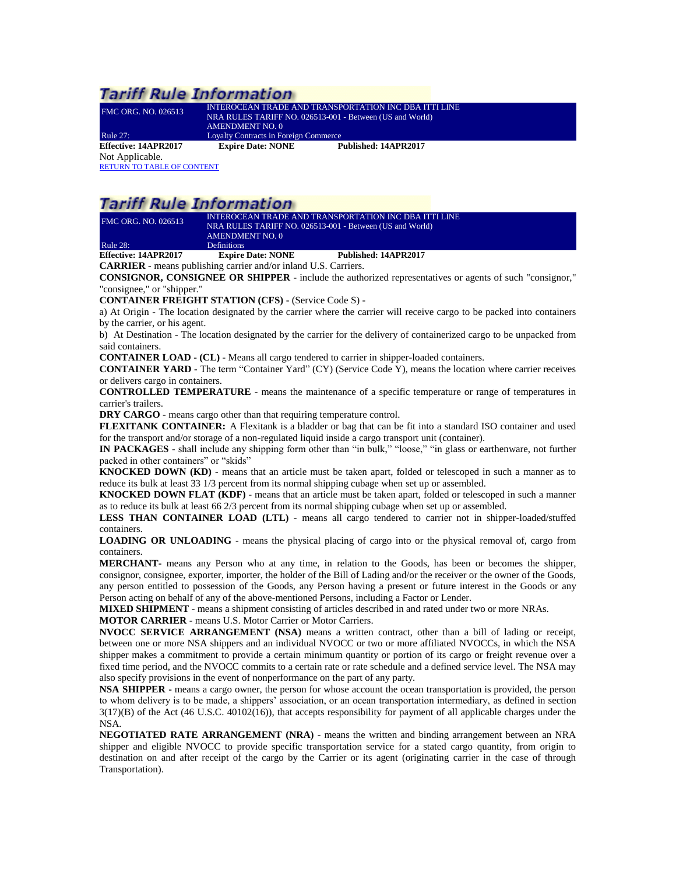<span id="page-31-0"></span>

| FMC ORG. NO. 026513  | <b>INTEROCEAN TRADE AND TRANSPORTATION INC DBA ITTI LINE</b><br>NRA RULES TARIFF NO. 026513-001 - Between (US and World)<br>AMENDMENT NO. 0 |                      |  |
|----------------------|---------------------------------------------------------------------------------------------------------------------------------------------|----------------------|--|
| <b>Rule 27:</b>      | <b>Loyalty Contracts in Foreign Commerce</b>                                                                                                |                      |  |
| Effective: 14APR2017 | <b>Expire Date: NONE</b>                                                                                                                    | Published: 14APR2017 |  |
| Not Applicable.      |                                                                                                                                             |                      |  |

[RETURN TO TABLE OF CONTENT](#page-2-0)

# **Tariff Rule Information**

| $E.99 - 11 - 141$ DD $2017$ | $E_{\text{max}}$ $\mathbf{D}_{\text{max}}$ $\mathbf{N}$ $\mathbf{M}$ $\mathbf{N}$ $\mathbf{E}$ | D., L. P., L., J., 144 D.D. 2017 |  |
|-----------------------------|------------------------------------------------------------------------------------------------|----------------------------------|--|
| <b>Rule 28:</b>             | <b>Definitions</b>                                                                             |                                  |  |
|                             | AMENDMENT NO. 0                                                                                |                                  |  |
|                             | NRA RULES TARIFF NO. 026513-001 - Between (US and World)                                       |                                  |  |
| <b>FMC ORG. NO. 026513</b>  | INTEROCEAN TRADE AND TRANSPORTATION INC DBA ITTI LINE                                          |                                  |  |

<span id="page-31-1"></span>**Effective: 14APR2017 Expire Date: NONE Published: 14APR2017 CARRIER** - means publishing carrier and/or inland U.S. Carriers.

**CONSIGNOR, CONSIGNEE OR SHIPPER** - include the authorized representatives or agents of such "consignor," "consignee," or "shipper."

**CONTAINER FREIGHT STATION (CFS)** - (Service Code S) -

a) At Origin - The location designated by the carrier where the carrier will receive cargo to be packed into containers by the carrier, or his agent.

b) At Destination - The location designated by the carrier for the delivery of containerized cargo to be unpacked from said containers.

**CONTAINER LOAD - (CL)** - Means all cargo tendered to carrier in shipper-loaded containers.

**CONTAINER YARD** - The term "Container Yard" (CY) (Service Code Y), means the location where carrier receives or delivers cargo in containers.

**CONTROLLED TEMPERATURE** - means the maintenance of a specific temperature or range of temperatures in carrier's trailers.

**DRY CARGO** - means cargo other than that requiring temperature control.

**FLEXITANK CONTAINER:** A Flexitank is a bladder or bag that can be fit into a standard ISO container and used for the transport and/or storage of a non-regulated liquid inside a cargo transport unit (container).

**IN PACKAGES** - shall include any shipping form other than "in bulk," "loose," "in glass or earthenware, not further packed in other containers" or "skids"

**KNOCKED DOWN (KD)** - means that an article must be taken apart, folded or telescoped in such a manner as to reduce its bulk at least 33 1/3 percent from its normal shipping cubage when set up or assembled.

**KNOCKED DOWN FLAT (KDF)** - means that an article must be taken apart, folded or telescoped in such a manner as to reduce its bulk at least 66 2/3 percent from its normal shipping cubage when set up or assembled.

**LESS THAN CONTAINER LOAD (LTL)** - means all cargo tendered to carrier not in shipper-loaded/stuffed containers.

**LOADING OR UNLOADING** - means the physical placing of cargo into or the physical removal of, cargo from containers.

**MERCHANT-** means any Person who at any time, in relation to the Goods, has been or becomes the shipper, consignor, consignee, exporter, importer, the holder of the Bill of Lading and/or the receiver or the owner of the Goods, any person entitled to possession of the Goods, any Person having a present or future interest in the Goods or any Person acting on behalf of any of the above-mentioned Persons, including a Factor or Lender.

**MIXED SHIPMENT** - means a shipment consisting of articles described in and rated under two or more NRAs.

**MOTOR CARRIER** - means U.S. Motor Carrier or Motor Carriers.

**NVOCC SERVICE ARRANGEMENT (NSA)** means a written contract, other than a bill of lading or receipt, between one or more NSA shippers and an individual NVOCC or two or more affiliated NVOCCs, in which the NSA shipper makes a commitment to provide a certain minimum quantity or portion of its cargo or freight revenue over a fixed time period, and the NVOCC commits to a certain rate or rate schedule and a defined service level. The NSA may also specify provisions in the event of nonperformance on the part of any party.

**NSA SHIPPER -** means a cargo owner, the person for whose account the ocean transportation is provided, the person to whom delivery is to be made, a shippers' association, or an ocean transportation intermediary, as defined in section 3(17)(B) of the Act (46 U.S.C. 40102(16)), that accepts responsibility for payment of all applicable charges under the NSA.

**NEGOTIATED RATE ARRANGEMENT (NRA)** - means the written and binding arrangement between an NRA shipper and eligible NVOCC to provide specific transportation service for a stated cargo quantity, from origin to destination on and after receipt of the cargo by the Carrier or its agent (originating carrier in the case of through Transportation).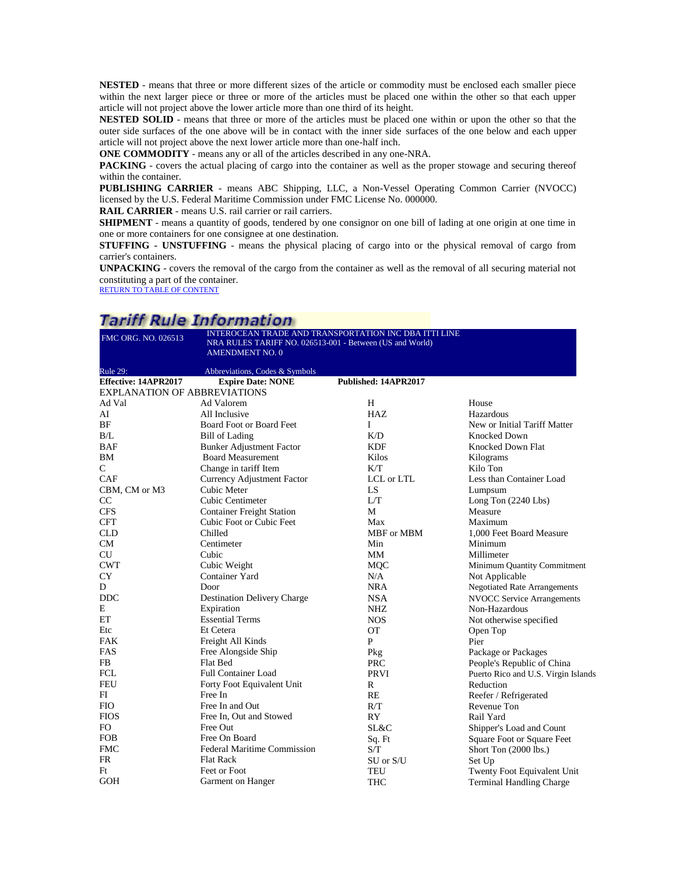**NESTED** - means that three or more different sizes of the article or commodity must be enclosed each smaller piece within the next larger piece or three or more of the articles must be placed one within the other so that each upper article will not project above the lower article more than one third of its height.

**NESTED SOLID** - means that three or more of the articles must be placed one within or upon the other so that the outer side surfaces of the one above will be in contact with the inner side surfaces of the one below and each upper article will not project above the next lower article more than one-half inch.

**ONE COMMODITY** - means any or all of the articles described in any one-NRA.

**PACKING** - covers the actual placing of cargo into the container as well as the proper stowage and securing thereof within the container.

**PUBLISHING CARRIER** - means ABC Shipping, LLC, a Non-Vessel Operating Common Carrier (NVOCC) licensed by the U.S. Federal Maritime Commission under FMC License No. 000000.

**RAIL CARRIER** - means U.S. rail carrier or rail carriers.

**SHIPMENT** - means a quantity of goods, tendered by one consignor on one bill of lading at one origin at one time in one or more containers for one consignee at one destination.

**STUFFING - UNSTUFFING** - means the physical placing of cargo into or the physical removal of cargo from carrier's containers.

**UNPACKING** - covers the removal of the cargo from the container as well as the removal of all securing material not constituting a part of the container.

[RETURN TO TABLE OF CONTENT](#page-2-0)

## Tariff Pula Information

| .                                   | .<br>. <b>.</b>                                                                    |                                                       |                                     |
|-------------------------------------|------------------------------------------------------------------------------------|-------------------------------------------------------|-------------------------------------|
| FMC ORG. NO. 026513                 | NRA RULES TARIFF NO. 026513-001 - Between (US and World)<br><b>AMENDMENT NO. 0</b> | INTEROCEAN TRADE AND TRANSPORTATION INC DBA ITTI LINE |                                     |
| Rule 29:                            | Abbreviations, Codes & Symbols                                                     |                                                       |                                     |
| Effective: 14APR2017                | <b>Expire Date: NONE</b>                                                           | Published: 14APR2017                                  |                                     |
| <b>EXPLANATION OF ABBREVIATIONS</b> |                                                                                    |                                                       |                                     |
| Ad Val                              | Ad Valorem                                                                         | H                                                     | House                               |
| AI                                  | All Inclusive                                                                      | HAZ                                                   | Hazardous                           |
| BF                                  | Board Foot or Board Feet                                                           | L                                                     | New or Initial Tariff Matter        |
| B/L                                 | <b>Bill of Lading</b>                                                              | K/D                                                   | <b>Knocked Down</b>                 |
| BAF                                 | <b>Bunker Adjustment Factor</b>                                                    | <b>KDF</b>                                            | Knocked Down Flat                   |
| BM                                  | <b>Board Measurement</b>                                                           | Kilos                                                 | Kilograms                           |
| $\mathsf{C}$                        | Change in tariff Item                                                              | K/T                                                   | Kilo Ton                            |
| CAF                                 | Currency Adjustment Factor                                                         | ${\rm LCL}$ or ${\rm LTL}$                            | Less than Container Load            |
| CBM, CM or M3                       | Cubic Meter                                                                        | LS.                                                   | Lumpsum                             |
| CC                                  | Cubic Centimeter                                                                   | L/T                                                   | Long Ton $(2240$ Lbs)               |
| <b>CFS</b>                          | <b>Container Freight Station</b>                                                   | M                                                     | Measure                             |
| <b>CFT</b>                          | Cubic Foot or Cubic Feet                                                           | Max                                                   | Maximum                             |
| <b>CLD</b>                          | Chilled                                                                            | MBF or MBM                                            | 1,000 Feet Board Measure            |
| <b>CM</b>                           | Centimeter                                                                         | Min                                                   | Minimum                             |
| <b>CU</b>                           | Cubic                                                                              | MM                                                    | Millimeter                          |
| <b>CWT</b>                          | Cubic Weight                                                                       | <b>MQC</b>                                            | Minimum Quantity Commitment         |
| <b>CY</b>                           | Container Yard                                                                     | N/A                                                   | Not Applicable                      |
| D                                   | Door                                                                               | NRA                                                   | <b>Negotiated Rate Arrangements</b> |
| <b>DDC</b>                          | Destination Delivery Charge                                                        | <b>NSA</b>                                            | <b>NVOCC Service Arrangements</b>   |
| E                                   | Expiration                                                                         | NHZ                                                   | Non-Hazardous                       |
| EΤ                                  | <b>Essential Terms</b>                                                             | <b>NOS</b>                                            | Not otherwise specified             |
| Etc                                 | Et Cetera                                                                          | <b>OT</b>                                             | Open Top                            |
| <b>FAK</b>                          | Freight All Kinds                                                                  | P                                                     | Pier                                |
| FAS                                 | Free Alongside Ship                                                                | Pkg                                                   | Package or Packages                 |
| FB                                  | Flat Bed                                                                           | <b>PRC</b>                                            | People's Republic of China          |
| <b>FCL</b>                          | <b>Full Container Load</b>                                                         | <b>PRVI</b>                                           | Puerto Rico and U.S. Virgin Islands |
| <b>FEU</b>                          | Forty Foot Equivalent Unit                                                         | R                                                     | Reduction                           |
| FI                                  | Free In                                                                            | RE                                                    | Reefer / Refrigerated               |
| <b>FIO</b>                          | Free In and Out                                                                    | R/T                                                   | Revenue Ton                         |
| <b>FIOS</b>                         | Free In, Out and Stowed                                                            | RY                                                    | Rail Yard                           |
| FO.                                 | Free Out                                                                           | SL&C                                                  | Shipper's Load and Count            |
| <b>FOB</b>                          | Free On Board                                                                      | Sq. Ft                                                | Square Foot or Square Feet          |
| <b>FMC</b>                          | <b>Federal Maritime Commission</b>                                                 | S/T                                                   | Short Ton (2000 lbs.)               |
| <b>FR</b>                           | <b>Flat Rack</b>                                                                   | SU or S/U                                             | Set Up                              |
| Ft                                  | Feet or Foot                                                                       | <b>TEU</b>                                            | Twenty Foot Equivalent Unit         |
| <b>GOH</b>                          | Garment on Hanger                                                                  | <b>THC</b>                                            | <b>Terminal Handling Charge</b>     |